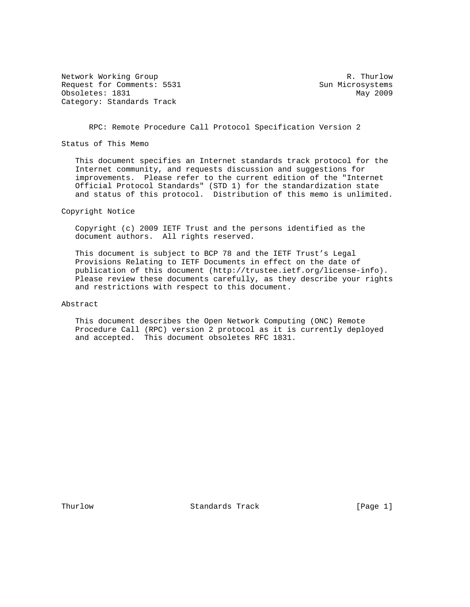Network Working Group and the set of the set of the set of the R. Thurlow Request for Comments: 5531 Sun Microsystems Obsoletes: 1831 May 2009 Category: Standards Track

RPC: Remote Procedure Call Protocol Specification Version 2

Status of This Memo

 This document specifies an Internet standards track protocol for the Internet community, and requests discussion and suggestions for improvements. Please refer to the current edition of the "Internet Official Protocol Standards" (STD 1) for the standardization state and status of this protocol. Distribution of this memo is unlimited.

Copyright Notice

 Copyright (c) 2009 IETF Trust and the persons identified as the document authors. All rights reserved.

 This document is subject to BCP 78 and the IETF Trust's Legal Provisions Relating to IETF Documents in effect on the date of publication of this document (http://trustee.ietf.org/license-info). Please review these documents carefully, as they describe your rights and restrictions with respect to this document.

Abstract

 This document describes the Open Network Computing (ONC) Remote Procedure Call (RPC) version 2 protocol as it is currently deployed and accepted. This document obsoletes RFC 1831.

Thurlow **Standards Track** [Page 1]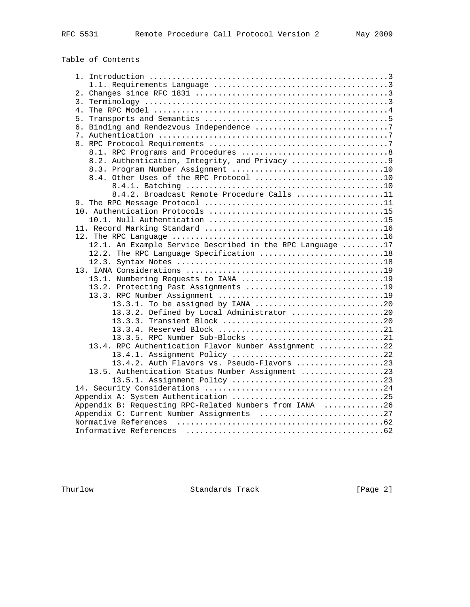# Table of Contents

| 8.2. Authentication, Integrity, and Privacy 9             |  |
|-----------------------------------------------------------|--|
|                                                           |  |
| 8.4. Other Uses of the RPC Protocol 10                    |  |
|                                                           |  |
| 8.4.2. Broadcast Remote Procedure Calls 11                |  |
|                                                           |  |
|                                                           |  |
|                                                           |  |
|                                                           |  |
|                                                           |  |
| 12.1. An Example Service Described in the RPC Language 17 |  |
| 12.2. The RPC Language Specification 18                   |  |
|                                                           |  |
|                                                           |  |
| 13.1. Numbering Requests to IANA 19                       |  |
| 13.2. Protecting Past Assignments 19                      |  |
|                                                           |  |
| 13.3.1. To be assigned by IANA 20                         |  |
| 13.3.2. Defined by Local Administrator 20                 |  |
|                                                           |  |
|                                                           |  |
| 13.3.5. RPC Number Sub-Blocks 21                          |  |
| 13.4. RPC Authentication Flavor Number Assignment 22      |  |
| 13.4.1. Assignment Policy 22                              |  |
| 13.4.2. Auth Flavors vs. Pseudo-Flavors 23                |  |
| 13.5. Authentication Status Number Assignment 23          |  |
|                                                           |  |
|                                                           |  |
|                                                           |  |
| Appendix B: Requesting RPC-Related Numbers from IANA 26   |  |
| Appendix C: Current Number Assignments 27                 |  |
|                                                           |  |
|                                                           |  |

Thurlow Standards Track [Page 2]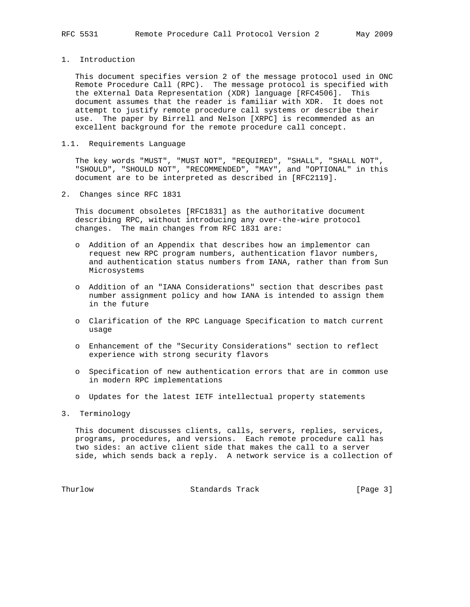1. Introduction

 This document specifies version 2 of the message protocol used in ONC Remote Procedure Call (RPC). The message protocol is specified with the eXternal Data Representation (XDR) language [RFC4506]. This document assumes that the reader is familiar with XDR. It does not attempt to justify remote procedure call systems or describe their use. The paper by Birrell and Nelson [XRPC] is recommended as an excellent background for the remote procedure call concept.

### 1.1. Requirements Language

 The key words "MUST", "MUST NOT", "REQUIRED", "SHALL", "SHALL NOT", "SHOULD", "SHOULD NOT", "RECOMMENDED", "MAY", and "OPTIONAL" in this document are to be interpreted as described in [RFC2119].

2. Changes since RFC 1831

 This document obsoletes [RFC1831] as the authoritative document describing RPC, without introducing any over-the-wire protocol changes. The main changes from RFC 1831 are:

- o Addition of an Appendix that describes how an implementor can request new RPC program numbers, authentication flavor numbers, and authentication status numbers from IANA, rather than from Sun Microsystems
- o Addition of an "IANA Considerations" section that describes past number assignment policy and how IANA is intended to assign them in the future
- o Clarification of the RPC Language Specification to match current usage
- o Enhancement of the "Security Considerations" section to reflect experience with strong security flavors
- o Specification of new authentication errors that are in common use in modern RPC implementations
- o Updates for the latest IETF intellectual property statements
- 3. Terminology

 This document discusses clients, calls, servers, replies, services, programs, procedures, and versions. Each remote procedure call has two sides: an active client side that makes the call to a server side, which sends back a reply. A network service is a collection of

Thurlow **Standards Track** [Page 3]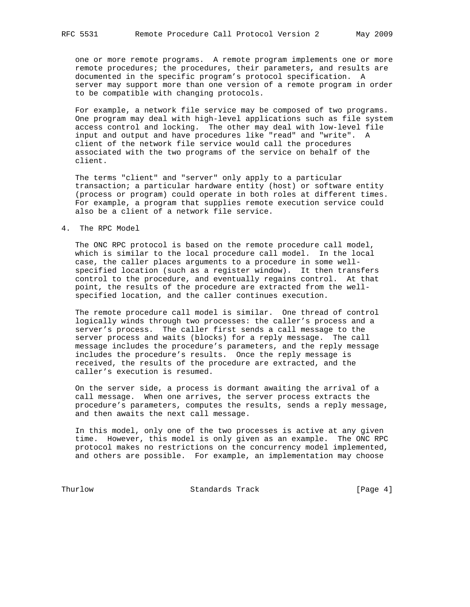one or more remote programs. A remote program implements one or more remote procedures; the procedures, their parameters, and results are documented in the specific program's protocol specification. A server may support more than one version of a remote program in order to be compatible with changing protocols.

 For example, a network file service may be composed of two programs. One program may deal with high-level applications such as file system access control and locking. The other may deal with low-level file input and output and have procedures like "read" and "write". A client of the network file service would call the procedures associated with the two programs of the service on behalf of the client.

 The terms "client" and "server" only apply to a particular transaction; a particular hardware entity (host) or software entity (process or program) could operate in both roles at different times. For example, a program that supplies remote execution service could also be a client of a network file service.

#### 4. The RPC Model

 The ONC RPC protocol is based on the remote procedure call model, which is similar to the local procedure call model. In the local case, the caller places arguments to a procedure in some well specified location (such as a register window). It then transfers control to the procedure, and eventually regains control. At that point, the results of the procedure are extracted from the well specified location, and the caller continues execution.

 The remote procedure call model is similar. One thread of control logically winds through two processes: the caller's process and a server's process. The caller first sends a call message to the server process and waits (blocks) for a reply message. The call message includes the procedure's parameters, and the reply message includes the procedure's results. Once the reply message is received, the results of the procedure are extracted, and the caller's execution is resumed.

 On the server side, a process is dormant awaiting the arrival of a call message. When one arrives, the server process extracts the procedure's parameters, computes the results, sends a reply message, and then awaits the next call message.

 In this model, only one of the two processes is active at any given time. However, this model is only given as an example. The ONC RPC protocol makes no restrictions on the concurrency model implemented, and others are possible. For example, an implementation may choose

Thurlow Standards Track [Page 4]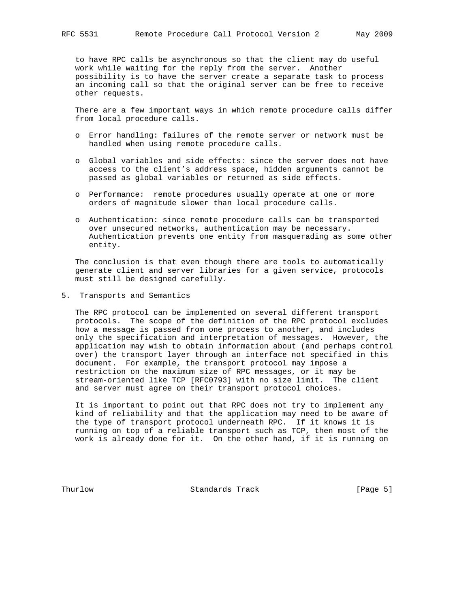to have RPC calls be asynchronous so that the client may do useful work while waiting for the reply from the server. Another possibility is to have the server create a separate task to process an incoming call so that the original server can be free to receive other requests.

 There are a few important ways in which remote procedure calls differ from local procedure calls.

- o Error handling: failures of the remote server or network must be handled when using remote procedure calls.
- o Global variables and side effects: since the server does not have access to the client's address space, hidden arguments cannot be passed as global variables or returned as side effects.
- o Performance: remote procedures usually operate at one or more orders of magnitude slower than local procedure calls.
- o Authentication: since remote procedure calls can be transported over unsecured networks, authentication may be necessary. Authentication prevents one entity from masquerading as some other entity.

 The conclusion is that even though there are tools to automatically generate client and server libraries for a given service, protocols must still be designed carefully.

5. Transports and Semantics

 The RPC protocol can be implemented on several different transport protocols. The scope of the definition of the RPC protocol excludes how a message is passed from one process to another, and includes only the specification and interpretation of messages. However, the application may wish to obtain information about (and perhaps control over) the transport layer through an interface not specified in this document. For example, the transport protocol may impose a restriction on the maximum size of RPC messages, or it may be stream-oriented like TCP [RFC0793] with no size limit. The client and server must agree on their transport protocol choices.

 It is important to point out that RPC does not try to implement any kind of reliability and that the application may need to be aware of the type of transport protocol underneath RPC. If it knows it is running on top of a reliable transport such as TCP, then most of the work is already done for it. On the other hand, if it is running on

Thurlow Standards Track [Page 5]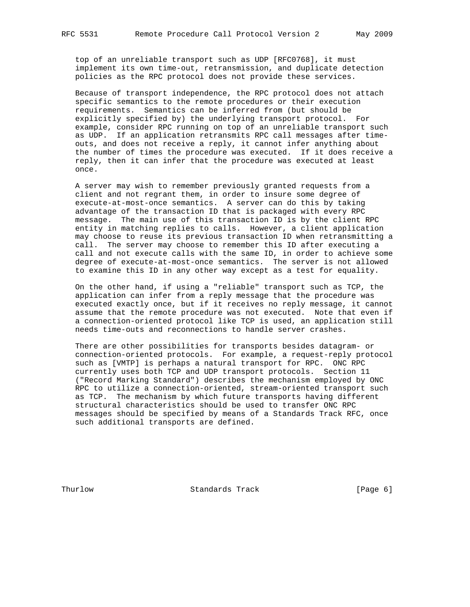top of an unreliable transport such as UDP [RFC0768], it must implement its own time-out, retransmission, and duplicate detection policies as the RPC protocol does not provide these services.

 Because of transport independence, the RPC protocol does not attach specific semantics to the remote procedures or their execution requirements. Semantics can be inferred from (but should be explicitly specified by) the underlying transport protocol. For example, consider RPC running on top of an unreliable transport such as UDP. If an application retransmits RPC call messages after time outs, and does not receive a reply, it cannot infer anything about the number of times the procedure was executed. If it does receive a reply, then it can infer that the procedure was executed at least once.

 A server may wish to remember previously granted requests from a client and not regrant them, in order to insure some degree of execute-at-most-once semantics. A server can do this by taking advantage of the transaction ID that is packaged with every RPC message. The main use of this transaction ID is by the client RPC entity in matching replies to calls. However, a client application may choose to reuse its previous transaction ID when retransmitting a call. The server may choose to remember this ID after executing a call and not execute calls with the same ID, in order to achieve some degree of execute-at-most-once semantics. The server is not allowed to examine this ID in any other way except as a test for equality.

 On the other hand, if using a "reliable" transport such as TCP, the application can infer from a reply message that the procedure was executed exactly once, but if it receives no reply message, it cannot assume that the remote procedure was not executed. Note that even if a connection-oriented protocol like TCP is used, an application still needs time-outs and reconnections to handle server crashes.

 There are other possibilities for transports besides datagram- or connection-oriented protocols. For example, a request-reply protocol such as [VMTP] is perhaps a natural transport for RPC. ONC RPC currently uses both TCP and UDP transport protocols. Section 11 ("Record Marking Standard") describes the mechanism employed by ONC RPC to utilize a connection-oriented, stream-oriented transport such as TCP. The mechanism by which future transports having different structural characteristics should be used to transfer ONC RPC messages should be specified by means of a Standards Track RFC, once such additional transports are defined.

Thurlow Standards Track [Page 6]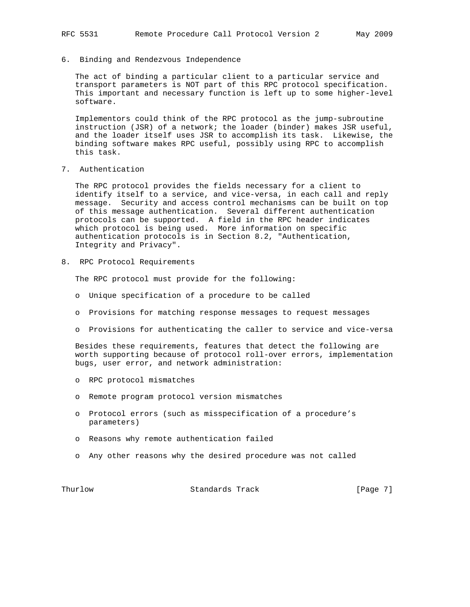#### 6. Binding and Rendezvous Independence

 The act of binding a particular client to a particular service and transport parameters is NOT part of this RPC protocol specification. This important and necessary function is left up to some higher-level software.

 Implementors could think of the RPC protocol as the jump-subroutine instruction (JSR) of a network; the loader (binder) makes JSR useful, and the loader itself uses JSR to accomplish its task. Likewise, the binding software makes RPC useful, possibly using RPC to accomplish this task.

7. Authentication

 The RPC protocol provides the fields necessary for a client to identify itself to a service, and vice-versa, in each call and reply message. Security and access control mechanisms can be built on top of this message authentication. Several different authentication protocols can be supported. A field in the RPC header indicates which protocol is being used. More information on specific authentication protocols is in Section 8.2, "Authentication, Integrity and Privacy".

8. RPC Protocol Requirements

The RPC protocol must provide for the following:

- o Unique specification of a procedure to be called
- o Provisions for matching response messages to request messages
- o Provisions for authenticating the caller to service and vice-versa

 Besides these requirements, features that detect the following are worth supporting because of protocol roll-over errors, implementation bugs, user error, and network administration:

- o RPC protocol mismatches
- o Remote program protocol version mismatches
- o Protocol errors (such as misspecification of a procedure's parameters)
- o Reasons why remote authentication failed
- o Any other reasons why the desired procedure was not called

Thurlow **Standards Track** [Page 7]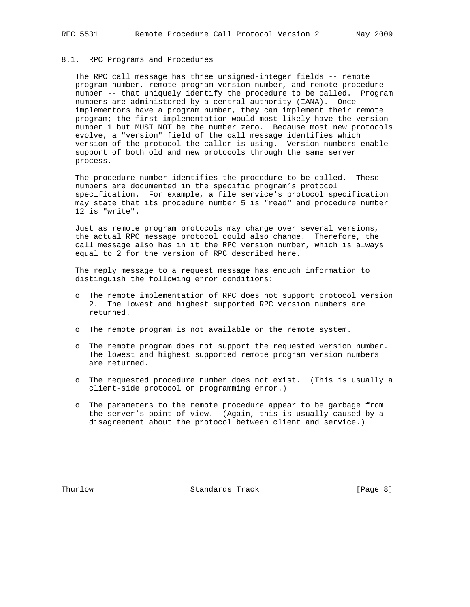#### 8.1. RPC Programs and Procedures

 The RPC call message has three unsigned-integer fields -- remote program number, remote program version number, and remote procedure number -- that uniquely identify the procedure to be called. Program numbers are administered by a central authority (IANA). Once implementors have a program number, they can implement their remote program; the first implementation would most likely have the version number 1 but MUST NOT be the number zero. Because most new protocols evolve, a "version" field of the call message identifies which version of the protocol the caller is using. Version numbers enable support of both old and new protocols through the same server process.

 The procedure number identifies the procedure to be called. These numbers are documented in the specific program's protocol specification. For example, a file service's protocol specification may state that its procedure number 5 is "read" and procedure number 12 is "write".

 Just as remote program protocols may change over several versions, the actual RPC message protocol could also change. Therefore, the call message also has in it the RPC version number, which is always equal to 2 for the version of RPC described here.

 The reply message to a request message has enough information to distinguish the following error conditions:

- o The remote implementation of RPC does not support protocol version 2. The lowest and highest supported RPC version numbers are returned.
- o The remote program is not available on the remote system.
- o The remote program does not support the requested version number. The lowest and highest supported remote program version numbers are returned.
- o The requested procedure number does not exist. (This is usually a client-side protocol or programming error.)
- o The parameters to the remote procedure appear to be garbage from the server's point of view. (Again, this is usually caused by a disagreement about the protocol between client and service.)

Thurlow Standards Track [Page 8]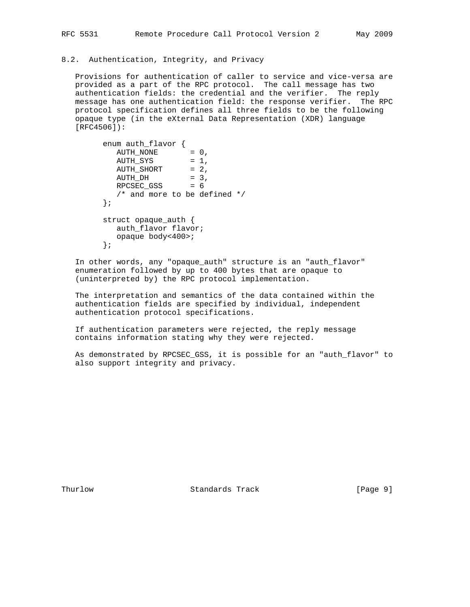### 8.2. Authentication, Integrity, and Privacy

 Provisions for authentication of caller to service and vice-versa are provided as a part of the RPC protocol. The call message has two authentication fields: the credential and the verifier. The reply message has one authentication field: the response verifier. The RPC protocol specification defines all three fields to be the following opaque type (in the eXternal Data Representation (XDR) language [RFC4506]):

```
 enum auth_flavor {
          \text{AUTH\_NONE} = 0,
          AUTH_SYS = 1,<br>AUTH_SHORT = 2,
AUTH_SHORT = 2,
\text{AUTH\_DH} = 3,
          RPCSEC_GSS = 6 /* and more to be defined */
         };
         struct opaque_auth {
           auth_flavor flavor;
            opaque body<400>;
         };
```
 In other words, any "opaque\_auth" structure is an "auth\_flavor" enumeration followed by up to 400 bytes that are opaque to (uninterpreted by) the RPC protocol implementation.

 The interpretation and semantics of the data contained within the authentication fields are specified by individual, independent authentication protocol specifications.

 If authentication parameters were rejected, the reply message contains information stating why they were rejected.

 As demonstrated by RPCSEC\_GSS, it is possible for an "auth\_flavor" to also support integrity and privacy.

Thurlow **Standards Track** [Page 9]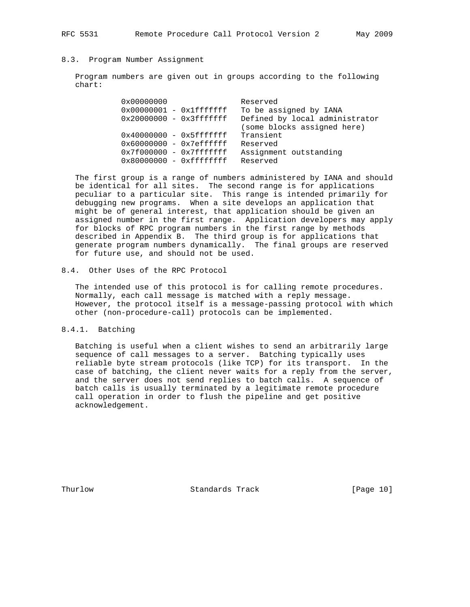#### 8.3. Program Number Assignment

 Program numbers are given out in groups according to the following chart:

| 0x00000000                | Reserved                       |
|---------------------------|--------------------------------|
| $0x00000001 - 0x1fffffff$ | To be assigned by IANA         |
| $0x20000000 - 0x3fffffff$ | Defined by local administrator |
|                           | (some blocks assigned here)    |
| $0x40000000 - 0x5fffffff$ | Transient                      |
| $0x60000000 - 0x7efffft$  | Reserved                       |
| $0x7f000000 - 0x7fffffff$ | Assignment outstanding         |
| $0x80000000 - 0xffffffff$ | Reserved                       |

 The first group is a range of numbers administered by IANA and should be identical for all sites. The second range is for applications peculiar to a particular site. This range is intended primarily for debugging new programs. When a site develops an application that might be of general interest, that application should be given an assigned number in the first range. Application developers may apply for blocks of RPC program numbers in the first range by methods described in Appendix B. The third group is for applications that generate program numbers dynamically. The final groups are reserved for future use, and should not be used.

#### 8.4. Other Uses of the RPC Protocol

 The intended use of this protocol is for calling remote procedures. Normally, each call message is matched with a reply message. However, the protocol itself is a message-passing protocol with which other (non-procedure-call) protocols can be implemented.

### 8.4.1. Batching

 Batching is useful when a client wishes to send an arbitrarily large sequence of call messages to a server. Batching typically uses reliable byte stream protocols (like TCP) for its transport. In the case of batching, the client never waits for a reply from the server, and the server does not send replies to batch calls. A sequence of batch calls is usually terminated by a legitimate remote procedure call operation in order to flush the pipeline and get positive acknowledgement.

Thurlow Standards Track [Page 10]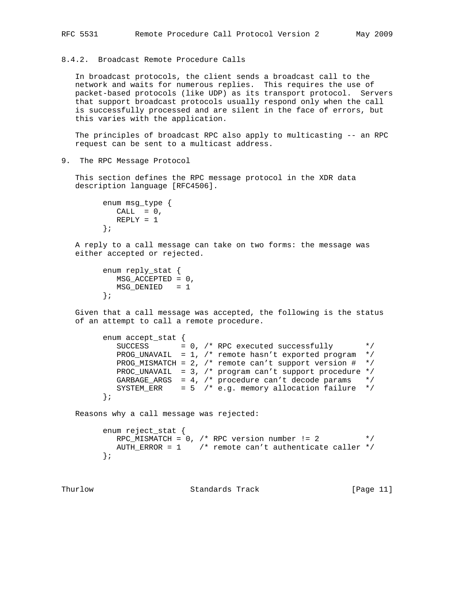### 8.4.2. Broadcast Remote Procedure Calls

 In broadcast protocols, the client sends a broadcast call to the network and waits for numerous replies. This requires the use of packet-based protocols (like UDP) as its transport protocol. Servers that support broadcast protocols usually respond only when the call is successfully processed and are silent in the face of errors, but this varies with the application.

 The principles of broadcast RPC also apply to multicasting -- an RPC request can be sent to a multicast address.

9. The RPC Message Protocol

 This section defines the RPC message protocol in the XDR data description language [RFC4506].

```
 enum msg_type {
 CALL = 0, REPLY = 1
 };
```
 A reply to a call message can take on two forms: the message was either accepted or rejected.

```
 enum reply_stat {
   MSG_ACCEPTED = 0,
   MSG_DENIED = 1
 };
```
 Given that a call message was accepted, the following is the status of an attempt to call a remote procedure.

```
 enum accept_stat {
          SUCCESS = 0, /* RPC executed successfully */
          PROG_UNAVAIL = 1, /* remote hasn't exported program */ PROG_MISMATCH = 2, /* remote can't support version # */
 PROC_UNAVAIL = 3, /* program can't support procedure */
 GARBAGE_ARGS = 4, /* procedure can't decode params */
          SYSTEM_ERR = 5 /* e.g. memory allocation failure */ };
```
Reasons why a call message was rejected:

```
 enum reject_stat {
  RPC_MISMATCH = 0, /* RPC version number != 2 * AUTH_ERROR = 1 /* remote can't authenticate caller */
 };
```
Thurlow **Standards Track** [Page 11]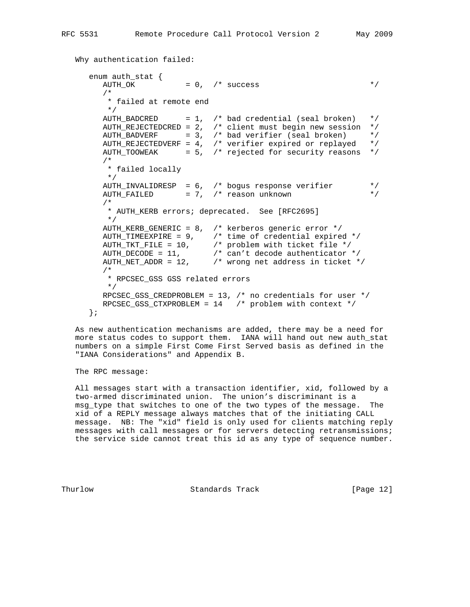Why authentication failed:

```
 enum auth_stat {
\text{AUTH\_OK} = 0, \prime success \star /
        /*
         * failed at remote end
         */
       AUTH_BADCRED = 1, \frac{1}{2} and credential (seal broken) */
        AUTH_REJECTEDCRED = 2, /* client must begin new session */
       AUTH_BADVERF = 3, /* bad verifier (seal broken) * / AUTH_REJECTEDVERF = 4, /* verifier expired or replayed */
 AUTH_TOOWEAK = 5, /* rejected for security reasons */
        /*
        * failed locally
         */
        AUTH_INVALIDRESP = 6, /* bogus response verifier */
       AUTH_FAILED = 7, \frac{1}{2} reason unknown */
        /*
         * AUTH_KERB errors; deprecated. See [RFC2695]
         */
        AUTH_KERB_GENERIC = 8, /* kerberos generic error */
 AUTH_TIMEEXPIRE = 9, /* time of credential expired */
 AUTH_TKT_FILE = 10, /* problem with ticket file */
 AUTH_DECODE = 11, /* can't decode authenticator */
 AUTH_NET_ADDR = 12, /* wrong net address in ticket */
        /*
         * RPCSEC_GSS GSS related errors
         */
        RPCSEC_GSS_CREDPROBLEM = 13, /* no credentials for user */
        RPCSEC_GSS_CTXPROBLEM = 14 /* problem with context */
      };
```
 As new authentication mechanisms are added, there may be a need for more status codes to support them. IANA will hand out new auth\_stat numbers on a simple First Come First Served basis as defined in the "IANA Considerations" and Appendix B.

The RPC message:

 All messages start with a transaction identifier, xid, followed by a two-armed discriminated union. The union's discriminant is a msg\_type that switches to one of the two types of the message. The xid of a REPLY message always matches that of the initiating CALL message. NB: The "xid" field is only used for clients matching reply messages with call messages or for servers detecting retransmissions; the service side cannot treat this id as any type of sequence number.

Thurlow Standards Track [Page 12]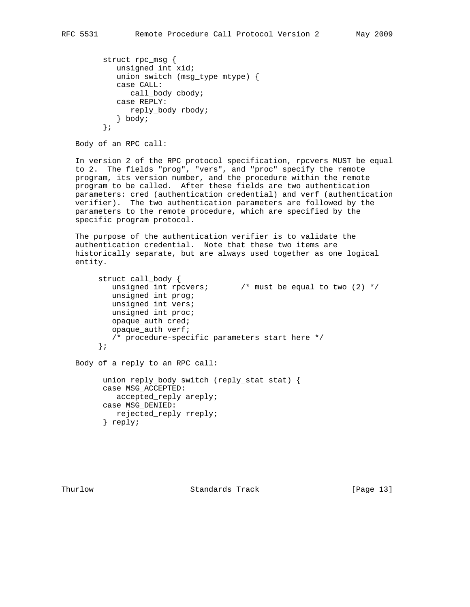```
 struct rpc_msg {
    unsigned int xid;
    union switch (msg_type mtype) {
    case CALL:
       call_body cbody;
    case REPLY:
       reply_body rbody;
    } body;
 };
```

```
 Body of an RPC call:
```
 In version 2 of the RPC protocol specification, rpcvers MUST be equal to 2. The fields "prog", "vers", and "proc" specify the remote program, its version number, and the procedure within the remote program to be called. After these fields are two authentication parameters: cred (authentication credential) and verf (authentication verifier). The two authentication parameters are followed by the parameters to the remote procedure, which are specified by the specific program protocol.

 The purpose of the authentication verifier is to validate the authentication credential. Note that these two items are historically separate, but are always used together as one logical entity.

```
 struct call_body {
  unsigned int rpcvers; \frac{1}{2} /* must be equal to two (2) */
   unsigned int prog;
   unsigned int vers;
   unsigned int proc;
   opaque_auth cred;
   opaque_auth verf;
   /* procedure-specific parameters start here */
 };
```
Body of a reply to an RPC call:

```
 union reply_body switch (reply_stat stat) {
 case MSG_ACCEPTED:
   accepted_reply areply;
 case MSG_DENIED:
   rejected_reply rreply;
 } reply;
```
Thurlow Standards Track [Page 13]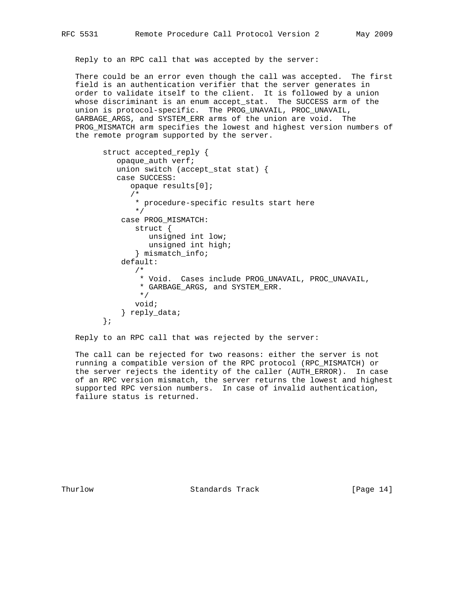Reply to an RPC call that was accepted by the server:

 There could be an error even though the call was accepted. The first field is an authentication verifier that the server generates in order to validate itself to the client. It is followed by a union whose discriminant is an enum accept\_stat. The SUCCESS arm of the union is protocol-specific. The PROG\_UNAVAIL, PROC\_UNAVAIL, GARBAGE\_ARGS, and SYSTEM\_ERR arms of the union are void. The PROG\_MISMATCH arm specifies the lowest and highest version numbers of the remote program supported by the server.

```
 struct accepted_reply {
            opaque_auth verf;
            union switch (accept_stat stat) {
            case SUCCESS:
               opaque results[0];
 /*
                * procedure-specific results start here
 */
             case PROG_MISMATCH:
                struct {
                  unsigned int low;
                   unsigned int high;
                } mismatch_info;
             default:
                /*
                 * Void. Cases include PROG_UNAVAIL, PROC_UNAVAIL,
                 * GARBAGE_ARGS, and SYSTEM_ERR.
                 */
                void;
             } reply_data;
         };
```
Reply to an RPC call that was rejected by the server:

 The call can be rejected for two reasons: either the server is not running a compatible version of the RPC protocol (RPC\_MISMATCH) or the server rejects the identity of the caller (AUTH\_ERROR). In case of an RPC version mismatch, the server returns the lowest and highest supported RPC version numbers. In case of invalid authentication, failure status is returned.

Thurlow Standards Track [Page 14]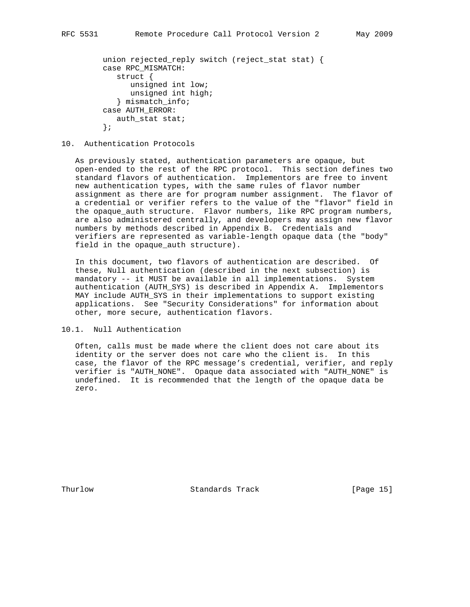```
 union rejected_reply switch (reject_stat stat) {
 case RPC_MISMATCH:
    struct {
       unsigned int low;
      unsigned int high;
    } mismatch_info;
 case AUTH_ERROR:
    auth_stat stat;
 };
```
#### 10. Authentication Protocols

 As previously stated, authentication parameters are opaque, but open-ended to the rest of the RPC protocol. This section defines two standard flavors of authentication. Implementors are free to invent new authentication types, with the same rules of flavor number assignment as there are for program number assignment. The flavor of a credential or verifier refers to the value of the "flavor" field in the opaque\_auth structure. Flavor numbers, like RPC program numbers, are also administered centrally, and developers may assign new flavor numbers by methods described in Appendix B. Credentials and verifiers are represented as variable-length opaque data (the "body" field in the opaque\_auth structure).

 In this document, two flavors of authentication are described. Of these, Null authentication (described in the next subsection) is mandatory -- it MUST be available in all implementations. System authentication (AUTH\_SYS) is described in Appendix A. Implementors MAY include AUTH\_SYS in their implementations to support existing applications. See "Security Considerations" for information about other, more secure, authentication flavors.

### 10.1. Null Authentication

 Often, calls must be made where the client does not care about its identity or the server does not care who the client is. In this case, the flavor of the RPC message's credential, verifier, and reply verifier is "AUTH\_NONE". Opaque data associated with "AUTH\_NONE" is undefined. It is recommended that the length of the opaque data be zero.

Thurlow **Standards Track** [Page 15]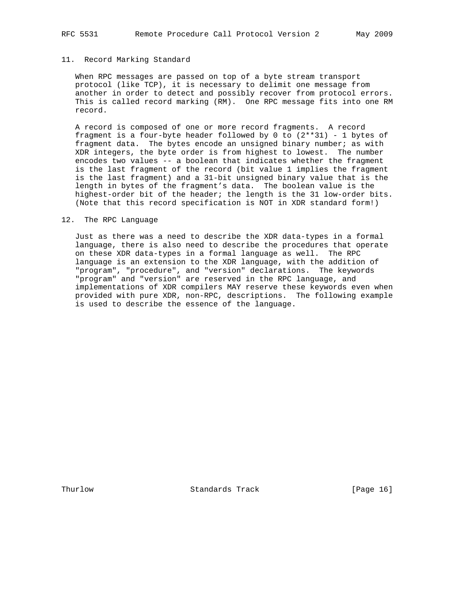#### 11. Record Marking Standard

 When RPC messages are passed on top of a byte stream transport protocol (like TCP), it is necessary to delimit one message from another in order to detect and possibly recover from protocol errors. This is called record marking (RM). One RPC message fits into one RM record.

 A record is composed of one or more record fragments. A record fragment is a four-byte header followed by 0 to  $(2**31)$  - 1 bytes of fragment data. The bytes encode an unsigned binary number; as with XDR integers, the byte order is from highest to lowest. The number encodes two values -- a boolean that indicates whether the fragment is the last fragment of the record (bit value 1 implies the fragment is the last fragment) and a 31-bit unsigned binary value that is the length in bytes of the fragment's data. The boolean value is the highest-order bit of the header; the length is the 31 low-order bits. (Note that this record specification is NOT in XDR standard form!)

#### 12. The RPC Language

 Just as there was a need to describe the XDR data-types in a formal language, there is also need to describe the procedures that operate on these XDR data-types in a formal language as well. The RPC language is an extension to the XDR language, with the addition of "program", "procedure", and "version" declarations. The keywords "program" and "version" are reserved in the RPC language, and implementations of XDR compilers MAY reserve these keywords even when provided with pure XDR, non-RPC, descriptions. The following example is used to describe the essence of the language.

Thurlow **Standards Track** [Page 16]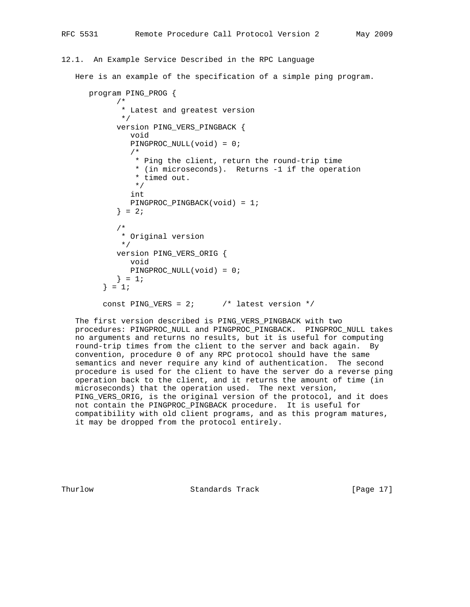#### 12.1. An Example Service Described in the RPC Language

Here is an example of the specification of a simple ping program.

```
 program PING_PROG {
       /*
        * Latest and greatest version
        */
       version PING_VERS_PINGBACK {
          void
          PINGPROC_NULL(void) = 0;
          /*
           * Ping the client, return the round-trip time
           * (in microseconds). Returns -1 if the operation
           * timed out.
           */
          int
          PINGPROC_PINGBACK(void) = 1;
      } = 2i /*
        * Original version
        */
       version PING_VERS_ORIG {
          void
          PINGPROC_NULL(void) = 0;
      } = 1;} = 1;const PING_VERS = 2; \frac{1}{10} /* latest version */
```
 The first version described is PING\_VERS\_PINGBACK with two procedures: PINGPROC\_NULL and PINGPROC\_PINGBACK. PINGPROC\_NULL takes no arguments and returns no results, but it is useful for computing round-trip times from the client to the server and back again. By convention, procedure 0 of any RPC protocol should have the same semantics and never require any kind of authentication. The second procedure is used for the client to have the server do a reverse ping operation back to the client, and it returns the amount of time (in microseconds) that the operation used. The next version, PING\_VERS\_ORIG, is the original version of the protocol, and it does not contain the PINGPROC\_PINGBACK procedure. It is useful for compatibility with old client programs, and as this program matures, it may be dropped from the protocol entirely.

Thurlow **Standards Track** [Page 17]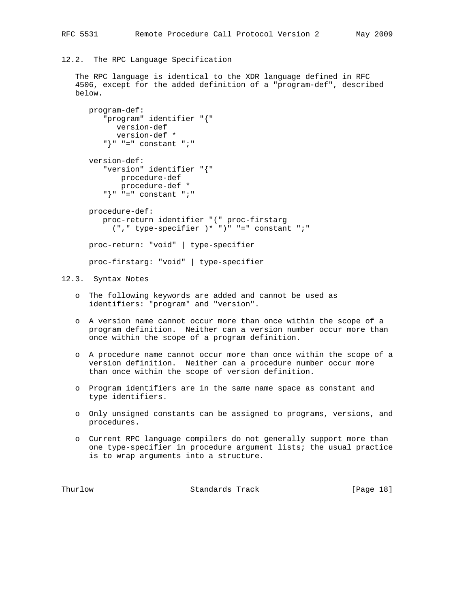12.2. The RPC Language Specification

 The RPC language is identical to the XDR language defined in RFC 4506, except for the added definition of a "program-def", described below.

```
 program-def:
    "program" identifier "{"
       version-def
       version-def *
   "\}" "=" constant ";"
 version-def:
    "version" identifier "{"
        procedure-def
        procedure-def *
   "\}" "=" constant ";"
 procedure-def:
    proc-return identifier "(" proc-firstarg
     ('', " type-specificer ) * " )" " = " constant " ; " proc-return: "void" | type-specifier
 proc-firstarg: "void" | type-specifier
```
## 12.3. Syntax Notes

- o The following keywords are added and cannot be used as identifiers: "program" and "version".
- o A version name cannot occur more than once within the scope of a program definition. Neither can a version number occur more than once within the scope of a program definition.
- o A procedure name cannot occur more than once within the scope of a version definition. Neither can a procedure number occur more than once within the scope of version definition.
- o Program identifiers are in the same name space as constant and type identifiers.
- o Only unsigned constants can be assigned to programs, versions, and procedures.
- o Current RPC language compilers do not generally support more than one type-specifier in procedure argument lists; the usual practice is to wrap arguments into a structure.

Thurlow Standards Track [Page 18]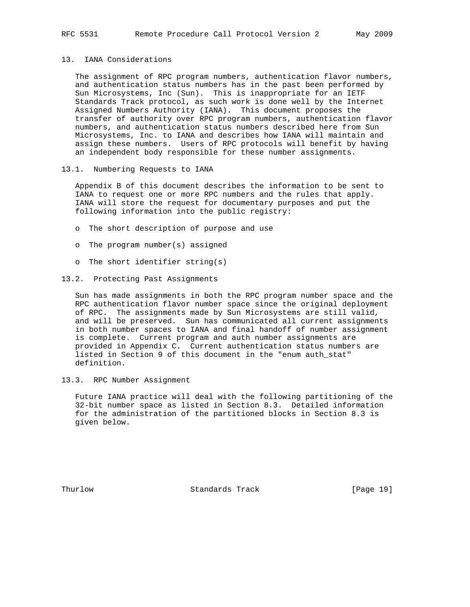### 13. IANA Considerations

 The assignment of RPC program numbers, authentication flavor numbers, and authentication status numbers has in the past been performed by Sun Microsystems, Inc (Sun). This is inappropriate for an IETF Standards Track protocol, as such work is done well by the Internet Assigned Numbers Authority (IANA). This document proposes the transfer of authority over RPC program numbers, authentication flavor numbers, and authentication status numbers described here from Sun Microsystems, Inc. to IANA and describes how IANA will maintain and assign these numbers. Users of RPC protocols will benefit by having an independent body responsible for these number assignments.

13.1. Numbering Requests to IANA

 Appendix B of this document describes the information to be sent to IANA to request one or more RPC numbers and the rules that apply. IANA will store the request for documentary purposes and put the following information into the public registry:

- o The short description of purpose and use
- o The program number(s) assigned
- o The short identifier string(s)
- 13.2. Protecting Past Assignments

 Sun has made assignments in both the RPC program number space and the RPC authentication flavor number space since the original deployment of RPC. The assignments made by Sun Microsystems are still valid, and will be preserved. Sun has communicated all current assignments in both number spaces to IANA and final handoff of number assignment is complete. Current program and auth number assignments are provided in Appendix C. Current authentication status numbers are listed in Section 9 of this document in the "enum auth\_stat" definition.

13.3. RPC Number Assignment

 Future IANA practice will deal with the following partitioning of the 32-bit number space as listed in Section 8.3. Detailed information for the administration of the partitioned blocks in Section 8.3 is given below.

Thurlow Standards Track [Page 19]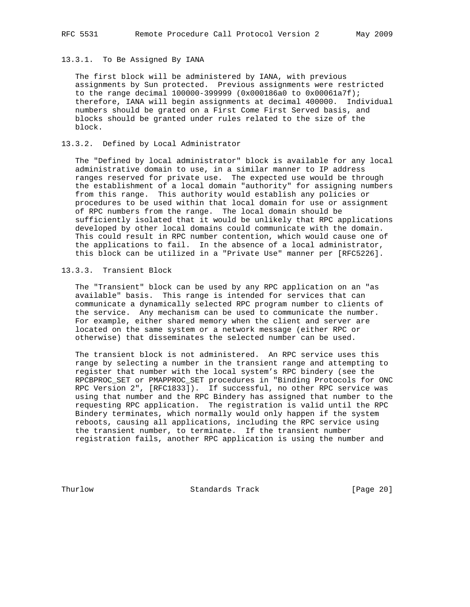#### 13.3.1. To Be Assigned By IANA

 The first block will be administered by IANA, with previous assignments by Sun protected. Previous assignments were restricted to the range decimal 100000-399999 (0x000186a0 to 0x00061a7f); therefore, IANA will begin assignments at decimal 400000. Individual numbers should be grated on a First Come First Served basis, and blocks should be granted under rules related to the size of the block.

### 13.3.2. Defined by Local Administrator

 The "Defined by local administrator" block is available for any local administrative domain to use, in a similar manner to IP address ranges reserved for private use. The expected use would be through the establishment of a local domain "authority" for assigning numbers from this range. This authority would establish any policies or procedures to be used within that local domain for use or assignment of RPC numbers from the range. The local domain should be sufficiently isolated that it would be unlikely that RPC applications developed by other local domains could communicate with the domain. This could result in RPC number contention, which would cause one of the applications to fail. In the absence of a local administrator, this block can be utilized in a "Private Use" manner per [RFC5226].

### 13.3.3. Transient Block

 The "Transient" block can be used by any RPC application on an "as available" basis. This range is intended for services that can communicate a dynamically selected RPC program number to clients of the service. Any mechanism can be used to communicate the number. For example, either shared memory when the client and server are located on the same system or a network message (either RPC or otherwise) that disseminates the selected number can be used.

 The transient block is not administered. An RPC service uses this range by selecting a number in the transient range and attempting to register that number with the local system's RPC bindery (see the RPCBPROC\_SET or PMAPPROC\_SET procedures in "Binding Protocols for ONC RPC Version 2", [RFC1833]). If successful, no other RPC service was using that number and the RPC Bindery has assigned that number to the requesting RPC application. The registration is valid until the RPC Bindery terminates, which normally would only happen if the system reboots, causing all applications, including the RPC service using the transient number, to terminate. If the transient number registration fails, another RPC application is using the number and

Thurlow Standards Track [Page 20]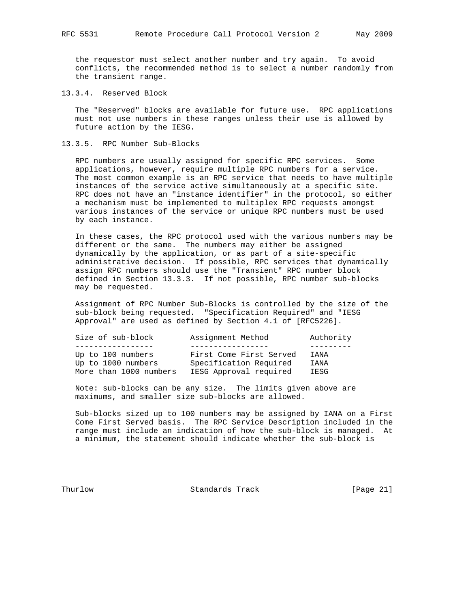the requestor must select another number and try again. To avoid conflicts, the recommended method is to select a number randomly from the transient range.

13.3.4. Reserved Block

 The "Reserved" blocks are available for future use. RPC applications must not use numbers in these ranges unless their use is allowed by future action by the IESG.

13.3.5. RPC Number Sub-Blocks

 RPC numbers are usually assigned for specific RPC services. Some applications, however, require multiple RPC numbers for a service. The most common example is an RPC service that needs to have multiple instances of the service active simultaneously at a specific site. RPC does not have an "instance identifier" in the protocol, so either a mechanism must be implemented to multiplex RPC requests amongst various instances of the service or unique RPC numbers must be used by each instance.

 In these cases, the RPC protocol used with the various numbers may be different or the same. The numbers may either be assigned dynamically by the application, or as part of a site-specific administrative decision. If possible, RPC services that dynamically assign RPC numbers should use the "Transient" RPC number block defined in Section 13.3.3. If not possible, RPC number sub-blocks may be requested.

 Assignment of RPC Number Sub-Blocks is controlled by the size of the sub-block being requested. "Specification Required" and "IESG Approval" are used as defined by Section 4.1 of [RFC5226].

| Size of sub-block                                                 | Assignment Method                                                           | Authority              |
|-------------------------------------------------------------------|-----------------------------------------------------------------------------|------------------------|
|                                                                   |                                                                             |                        |
| Up to 100 numbers<br>Up to 1000 numbers<br>More than 1000 numbers | First Come First Served<br>Specification Required<br>IESG Approval required | TANA<br>T AN A<br>IESG |

 Note: sub-blocks can be any size. The limits given above are maximums, and smaller size sub-blocks are allowed.

 Sub-blocks sized up to 100 numbers may be assigned by IANA on a First Come First Served basis. The RPC Service Description included in the range must include an indication of how the sub-block is managed. At a minimum, the statement should indicate whether the sub-block is

Thurlow Standards Track [Page 21]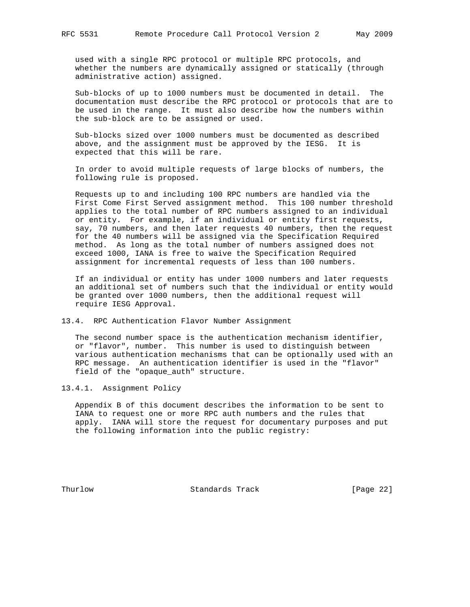used with a single RPC protocol or multiple RPC protocols, and whether the numbers are dynamically assigned or statically (through administrative action) assigned.

 Sub-blocks of up to 1000 numbers must be documented in detail. The documentation must describe the RPC protocol or protocols that are to be used in the range. It must also describe how the numbers within the sub-block are to be assigned or used.

 Sub-blocks sized over 1000 numbers must be documented as described above, and the assignment must be approved by the IESG. It is expected that this will be rare.

 In order to avoid multiple requests of large blocks of numbers, the following rule is proposed.

 Requests up to and including 100 RPC numbers are handled via the First Come First Served assignment method. This 100 number threshold applies to the total number of RPC numbers assigned to an individual or entity. For example, if an individual or entity first requests, say, 70 numbers, and then later requests 40 numbers, then the request for the 40 numbers will be assigned via the Specification Required method. As long as the total number of numbers assigned does not exceed 1000, IANA is free to waive the Specification Required assignment for incremental requests of less than 100 numbers.

 If an individual or entity has under 1000 numbers and later requests an additional set of numbers such that the individual or entity would be granted over 1000 numbers, then the additional request will require IESG Approval.

13.4. RPC Authentication Flavor Number Assignment

 The second number space is the authentication mechanism identifier, or "flavor", number. This number is used to distinguish between various authentication mechanisms that can be optionally used with an RPC message. An authentication identifier is used in the "flavor" field of the "opaque\_auth" structure.

13.4.1. Assignment Policy

 Appendix B of this document describes the information to be sent to IANA to request one or more RPC auth numbers and the rules that apply. IANA will store the request for documentary purposes and put the following information into the public registry:

Thurlow **Standards Track** [Page 22]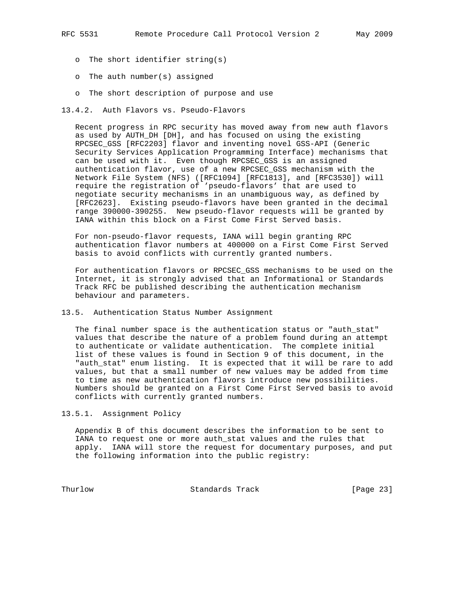- o The short identifier string(s)
- o The auth number(s) assigned
- o The short description of purpose and use
- 13.4.2. Auth Flavors vs. Pseudo-Flavors

 Recent progress in RPC security has moved away from new auth flavors as used by AUTH DH [DH], and has focused on using the existing RPCSEC\_GSS [RFC2203] flavor and inventing novel GSS-API (Generic Security Services Application Programming Interface) mechanisms that can be used with it. Even though RPCSEC\_GSS is an assigned authentication flavor, use of a new RPCSEC\_GSS mechanism with the Network File System (NFS) ([RFC1094] [RFC1813], and [RFC3530]) will require the registration of 'pseudo-flavors' that are used to negotiate security mechanisms in an unambiguous way, as defined by [RFC2623]. Existing pseudo-flavors have been granted in the decimal range 390000-390255. New pseudo-flavor requests will be granted by IANA within this block on a First Come First Served basis.

 For non-pseudo-flavor requests, IANA will begin granting RPC authentication flavor numbers at 400000 on a First Come First Served basis to avoid conflicts with currently granted numbers.

 For authentication flavors or RPCSEC\_GSS mechanisms to be used on the Internet, it is strongly advised that an Informational or Standards Track RFC be published describing the authentication mechanism behaviour and parameters.

13.5. Authentication Status Number Assignment

 The final number space is the authentication status or "auth\_stat" values that describe the nature of a problem found during an attempt to authenticate or validate authentication. The complete initial list of these values is found in Section 9 of this document, in the "auth\_stat" enum listing. It is expected that it will be rare to add values, but that a small number of new values may be added from time to time as new authentication flavors introduce new possibilities. Numbers should be granted on a First Come First Served basis to avoid conflicts with currently granted numbers.

13.5.1. Assignment Policy

 Appendix B of this document describes the information to be sent to IANA to request one or more auth\_stat values and the rules that apply. IANA will store the request for documentary purposes, and put the following information into the public registry:

Thurlow Standards Track [Page 23]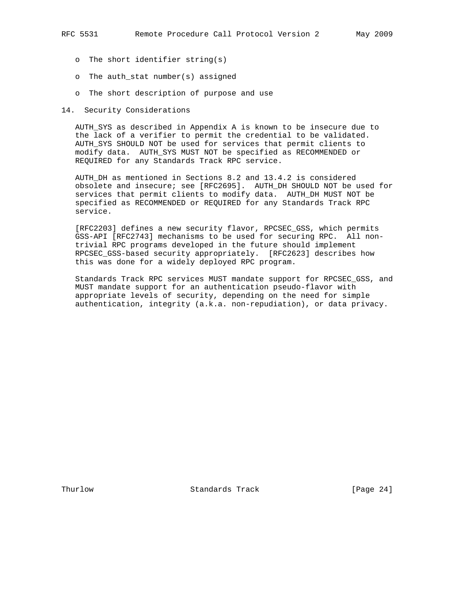- o The short identifier string(s)
- o The auth\_stat number(s) assigned
- o The short description of purpose and use
- 14. Security Considerations

 AUTH\_SYS as described in Appendix A is known to be insecure due to the lack of a verifier to permit the credential to be validated. AUTH\_SYS SHOULD NOT be used for services that permit clients to modify data. AUTH\_SYS MUST NOT be specified as RECOMMENDED or REQUIRED for any Standards Track RPC service.

 AUTH\_DH as mentioned in Sections 8.2 and 13.4.2 is considered obsolete and insecure; see [RFC2695]. AUTH\_DH SHOULD NOT be used for services that permit clients to modify data. AUTH\_DH MUST NOT be specified as RECOMMENDED or REQUIRED for any Standards Track RPC service.

 [RFC2203] defines a new security flavor, RPCSEC\_GSS, which permits GSS-API [RFC2743] mechanisms to be used for securing RPC. All non trivial RPC programs developed in the future should implement RPCSEC\_GSS-based security appropriately. [RFC2623] describes how this was done for a widely deployed RPC program.

 Standards Track RPC services MUST mandate support for RPCSEC\_GSS, and MUST mandate support for an authentication pseudo-flavor with appropriate levels of security, depending on the need for simple authentication, integrity (a.k.a. non-repudiation), or data privacy.

Thurlow Standards Track [Page 24]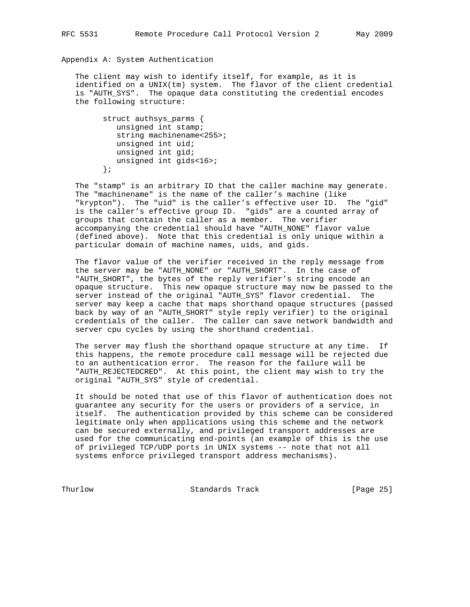Appendix A: System Authentication

 The client may wish to identify itself, for example, as it is identified on a UNIX(tm) system. The flavor of the client credential is "AUTH\_SYS". The opaque data constituting the credential encodes the following structure:

 struct authsys\_parms { unsigned int stamp; string machinename<255>; unsigned int uid; unsigned int gid; unsigned int gids<16>; };

 The "stamp" is an arbitrary ID that the caller machine may generate. The "machinename" is the name of the caller's machine (like "krypton"). The "uid" is the caller's effective user ID. The "gid" is the caller's effective group ID. "gids" are a counted array of groups that contain the caller as a member. The verifier accompanying the credential should have "AUTH\_NONE" flavor value (defined above). Note that this credential is only unique within a particular domain of machine names, uids, and gids.

 The flavor value of the verifier received in the reply message from the server may be "AUTH\_NONE" or "AUTH\_SHORT". In the case of "AUTH\_SHORT", the bytes of the reply verifier's string encode an opaque structure. This new opaque structure may now be passed to the server instead of the original "AUTH\_SYS" flavor credential. The server may keep a cache that maps shorthand opaque structures (passed back by way of an "AUTH\_SHORT" style reply verifier) to the original credentials of the caller. The caller can save network bandwidth and server cpu cycles by using the shorthand credential.

 The server may flush the shorthand opaque structure at any time. If this happens, the remote procedure call message will be rejected due to an authentication error. The reason for the failure will be "AUTH\_REJECTEDCRED". At this point, the client may wish to try the original "AUTH\_SYS" style of credential.

 It should be noted that use of this flavor of authentication does not guarantee any security for the users or providers of a service, in itself. The authentication provided by this scheme can be considered legitimate only when applications using this scheme and the network can be secured externally, and privileged transport addresses are used for the communicating end-points (an example of this is the use of privileged TCP/UDP ports in UNIX systems -- note that not all systems enforce privileged transport address mechanisms).

Thurlow Standards Track [Page 25]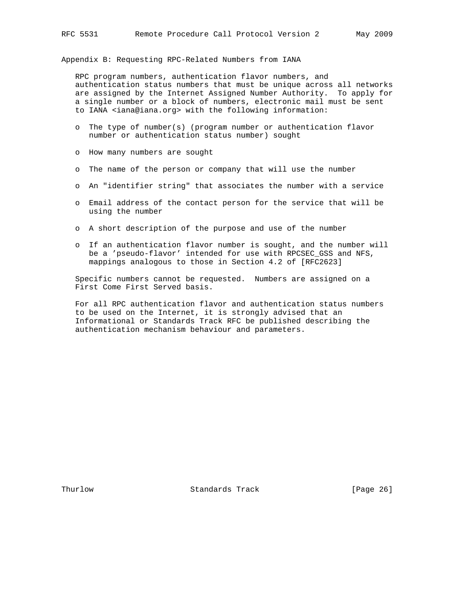Appendix B: Requesting RPC-Related Numbers from IANA

 RPC program numbers, authentication flavor numbers, and authentication status numbers that must be unique across all networks are assigned by the Internet Assigned Number Authority. To apply for a single number or a block of numbers, electronic mail must be sent to IANA <iana@iana.org> with the following information:

- o The type of number(s) (program number or authentication flavor number or authentication status number) sought
- o How many numbers are sought
- o The name of the person or company that will use the number
- o An "identifier string" that associates the number with a service
- o Email address of the contact person for the service that will be using the number
- o A short description of the purpose and use of the number
- o If an authentication flavor number is sought, and the number will be a 'pseudo-flavor' intended for use with RPCSEC\_GSS and NFS, mappings analogous to those in Section 4.2 of [RFC2623]

 Specific numbers cannot be requested. Numbers are assigned on a First Come First Served basis.

 For all RPC authentication flavor and authentication status numbers to be used on the Internet, it is strongly advised that an Informational or Standards Track RFC be published describing the authentication mechanism behaviour and parameters.

Thurlow Standards Track [Page 26]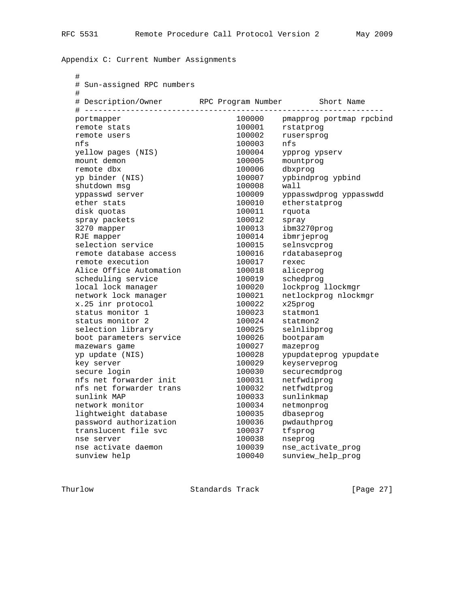Appendix C: Current Number Assignments

| # Description/Owner<br># -------------- | RPC Program Number<br>----------------- | Short Name               |
|-----------------------------------------|-----------------------------------------|--------------------------|
| portmapper                              | 100000                                  | pmapprog portmap rpcbind |
| remote stats                            | 100001                                  | rstatprog                |
| remote users                            | 100002                                  | rusersprog               |
| nfs                                     | 100003                                  | nfs                      |
| yellow pages (NIS)                      | 100004                                  | ypprog ypserv            |
| mount demon                             | 100005                                  | mountproq                |
| remote dbx                              | 100006                                  | dbxprog                  |
| yp binder (NIS)                         | 100007                                  | ypbindprog ypbind        |
| shutdown msg                            | 100008                                  | wall                     |
| yppasswd server                         | 100009                                  | yppasswdprog yppasswdd   |
| ether stats                             | 100010                                  | etherstatprog            |
| disk quotas                             | 100011                                  | rquota                   |
| spray packets                           | 100012                                  | spray                    |
| 3270 mapper                             | 100013                                  | ibm3270prog              |
| RJE mapper                              | 100014                                  | ibmrjeprog               |
| selection service                       | 100015                                  | selnsvcproq              |
| remote database access                  | 100016                                  | rdatabaseprog            |
| remote execution                        | 100017                                  | rexec                    |
| Alice Office Automation                 | 100018                                  | aliceprog                |
| scheduling service                      | 100019                                  | schedprog                |
| local lock manager                      | 100020                                  | lockprog llockmgr        |
| network lock manager                    | 100021                                  | netlockprog nlockmgr     |
| x.25 inr protocol                       | 100022                                  | x25proq                  |
| status monitor 1                        | 100023                                  | statmon1                 |
| status monitor 2                        | 100024                                  | statmon2                 |
| selection library                       | 100025                                  | selnlibprog              |
| boot parameters service                 | 100026                                  | bootparam                |
| mazewars game                           | 100027                                  | mazeprog                 |
| yp update (NIS)                         | 100028                                  | ypupdateprog ypupdate    |
| key server                              | 100029                                  | keyserveprog             |
| secure login                            | 100030                                  | securecmdprog            |
| nfs net forwarder init                  | 100031                                  | netfwdiprog              |
| nfs net forwarder trans                 | 100032                                  | netfwdtprog              |
| sunlink MAP                             | 100033                                  | sunlinkmap               |
| network monitor                         | 100034                                  | netmonprog               |
| lightweight database                    | 100035                                  | dbaseprog                |
| password authorization                  | 100036                                  | pwdauthprog              |
| translucent file svc                    | 100037                                  | tfsprog                  |
| nse server                              | 100038                                  | nseprog                  |
| nse activate daemon                     | 100039                                  | nse_activate_prog        |
| sunview help                            | 100040                                  | sunview_help_prog        |

Thurlow Standards Track [Page 27]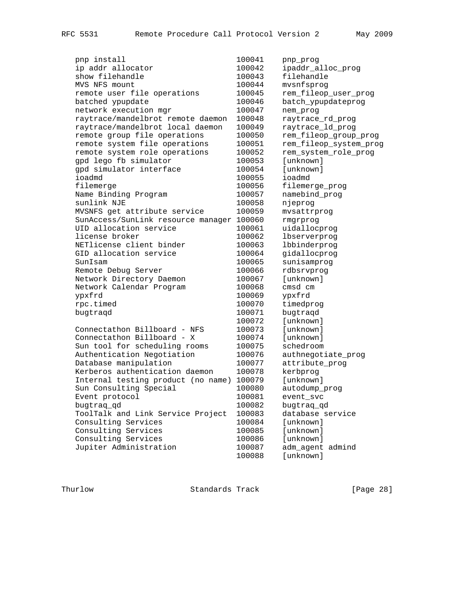| pnp install                               | 100041 | pnp_prog               |
|-------------------------------------------|--------|------------------------|
| ip addr allocator                         | 100042 | ipaddr_alloc_prog      |
| show filehandle                           | 100043 | filehandle             |
| MVS NFS mount                             | 100044 | mvsnfsprog             |
| remote user file operations               | 100045 | rem_fileop_user_prog   |
| batched ypupdate                          | 100046 | batch_ypupdateprog     |
| network execution mgr                     | 100047 | nem_prog               |
| raytrace/mandelbrot remote daemon         | 100048 | raytrace_rd_prog       |
| raytrace/mandelbrot local daemon          | 100049 | raytrace_ld_prog       |
| remote group file operations              | 100050 | rem_fileop_group_prog  |
| remote system file operations             | 100051 | rem_fileop_system_prog |
| remote system role operations             | 100052 | rem_system_role_prog   |
| gpd lego fb simulator                     | 100053 | [unknown]              |
| gpd simulator interface                   | 100054 | [unknown]              |
| ioadmd                                    | 100055 | ioadmd                 |
| filemerge                                 | 100056 | filemerge_prog         |
| Name Binding Program                      | 100057 | namebind_prog          |
| sunlink NJE                               | 100058 | njeprog                |
| MVSNFS get attribute service              | 100059 | mvsattrprog            |
| SunAccess/SunLink resource manager 100060 |        | rmgrprog               |
| UID allocation service                    | 100061 | uidallocprog           |
| license broker                            | 100062 | lbserverprog           |
| NETlicense client binder                  | 100063 | lbbinderprog           |
| GID allocation service                    | 100064 | gidallocprog           |
| SunIsam                                   | 100065 | sunisamprog            |
| Remote Debug Server                       | 100066 | rdbsrvprog             |
| Network Directory Daemon                  | 100067 | [unknown]              |
| Network Calendar Program                  | 100068 | cmsd cm                |
| ypxfrd                                    | 100069 | ypxfrd                 |
| rpc.timed                                 | 100070 | timedprog              |
| bugtraqd                                  | 100071 | bugtraqd               |
|                                           | 100072 | [unknown]              |
| Connectathon Billboard - NFS              | 100073 | [unknown]              |
| Connectathon Billboard - X                | 100074 | [unknown]              |
| Sun tool for scheduling rooms             | 100075 | schedroom              |
| Authentication Negotiation                | 100076 | authnegotiate_prog     |
| Database manipulation                     | 100077 | attribute_prog         |
| Kerberos authentication daemon            | 100078 | kerbprog               |
|                                           | 100079 | [unknown]              |
| Internal testing product (no name)        |        |                        |
| Sun Consulting Special                    | 100080 | autodump_prog          |
| Event protocol                            | 100081 | event_svc              |
| bugtraq_qd                                | 100082 | bugtraq_qd             |
| ToolTalk and Link Service Project         | 100083 | database service       |
| Consulting Services                       | 100084 | [unknown]              |
| Consulting Services                       | 100085 | [unknown]              |
| Consulting Services                       | 100086 | [unknown]              |
| Jupiter Administration                    | 100087 | adm_agent admind       |
|                                           | 100088 | [unknown]              |

Thurlow Standards Track [Page 28]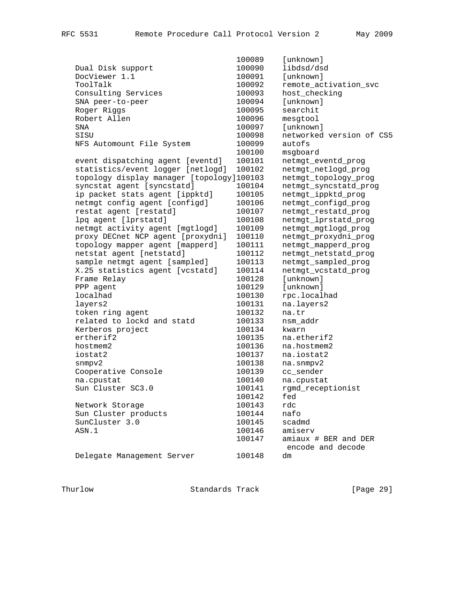|                                           | 100089 | [unknown]                |
|-------------------------------------------|--------|--------------------------|
| Dual Disk support                         | 100090 | libdsd/dsd               |
| DocViewer 1.1                             | 100091 | [unknown]                |
| ToolTalk                                  | 100092 | remote_activation_svc    |
| Consulting Services                       | 100093 | host_checking            |
| SNA peer-to-peer                          | 100094 | [unknown]                |
| Roger Riggs                               | 100095 | searchit                 |
| Robert Allen                              | 100096 | mesqtool                 |
| SNA                                       | 100097 | [unknown]                |
| SISU                                      | 100098 | networked version of CS5 |
| NFS Automount File System                 | 100099 | autofs                   |
|                                           | 100100 | msgboard                 |
| event dispatching agent [eventd]          | 100101 | netmgt_eventd_prog       |
| statistics/event logger [netlogd]         | 100102 | netmgt_netlogd_prog      |
| topology display manager [topology]100103 |        | netmgt_topology_prog     |
| syncstat agent [syncstatd]                | 100104 | netmgt_syncstatd_prog    |
| ip packet stats agent [ippktd]            | 100105 | netmgt_ippktd_prog       |
| netmgt config agent [configd]             | 100106 | netmgt_configd_prog      |
| restat agent [restatd]                    | 100107 | netmgt_restatd_prog      |
| lpq agent [lprstatd]                      | 100108 | netmgt_lprstatd_prog     |
| netmgt activity agent [mgtlogd]           | 100109 | netmgt_mgtlogd_prog      |
| proxy DECnet NCP agent [proxydni]         | 100110 | netmgt_proxydni_prog     |
| topology mapper agent [mapperd]           | 100111 | netmgt_mapperd_prog      |
| netstat agent [netstatd]                  | 100112 | netmgt_netstatd_prog     |
| sample netmgt agent [sampled]             | 100113 | netmgt_sampled_prog      |
| X.25 statistics agent [vcstatd]           | 100114 | netmgt_vcstatd_prog      |
| Frame Relay                               | 100128 | [unknown]                |
| PPP agent                                 | 100129 | [unknown]                |
| localhad                                  | 100130 | rpc.localhad             |
| layers2                                   | 100131 | na.layers2               |
| token ring agent                          | 100132 | na.tr                    |
| related to lockd and statd                | 100133 | nsm_addr                 |
| Kerberos project                          | 100134 | kwarn                    |
| ertherif2                                 | 100135 | na.etherif2              |
| hostmem2                                  | 100136 | na.hostmem2              |
| iostat2                                   | 100137 | na.iostat2               |
| snmpv2                                    | 100138 | na.snmpv2                |
| Cooperative Console                       | 100139 | cc_sender                |
| na.cpustat                                | 100140 | na.cpustat               |
| Sun Cluster SC3.0                         | 100141 | rgmd_receptionist        |
|                                           | 100142 | fed                      |
| Network Storage                           | 100143 | rdc                      |
| Sun Cluster products                      | 100144 | nafo                     |
| SunCluster 3.0                            | 100145 | scadmd                   |
| ASN.1                                     | 100146 | amiserv                  |
|                                           | 100147 | amiaux # BER and DER     |
|                                           |        | encode and decode        |
| Delegate Management Server                | 100148 | dm                       |

Thurlow Standards Track [Page 29]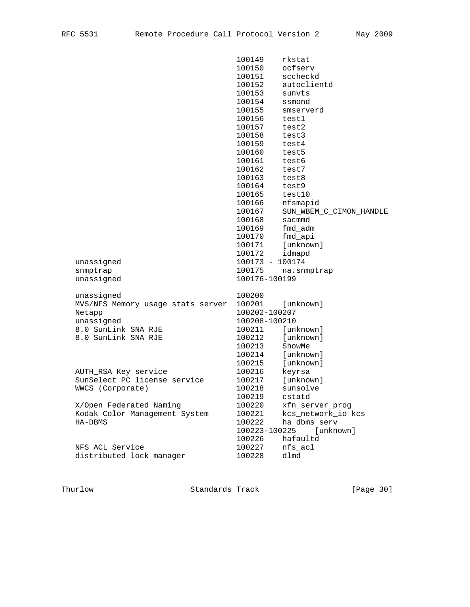|                                   | 100149          | rkstat                  |
|-----------------------------------|-----------------|-------------------------|
|                                   | 100150          | ocfserv                 |
|                                   | 100151          | sccheckd                |
|                                   | 100152          | autoclientd             |
|                                   | 100153          | sunvts                  |
|                                   | 100154          | ssmond                  |
|                                   | 100155          | smserverd               |
|                                   | 100156          | test1                   |
|                                   | 100157          | test2                   |
|                                   | 100158          | test3                   |
|                                   | 100159          | test4                   |
|                                   | 100160          | test5                   |
|                                   | 100161          | test6                   |
|                                   | 100162          | test7                   |
|                                   | 100163          | test8                   |
|                                   | 100164          | test9                   |
|                                   | 100165          | test10                  |
|                                   | 100166          | nfsmapid                |
|                                   | 100167          | SUN_WBEM_C_CIMON_HANDLE |
|                                   | 100168          | sacmmd                  |
|                                   | 100169          | fmd_adm                 |
|                                   | 100170          | fmd_api                 |
|                                   | 100171          | [unknown]               |
|                                   | 100172          | idmapd                  |
| unassigned                        | 100173 - 100174 |                         |
| snmptrap                          | 100175          | na.snmptrap             |
| unassigned                        | 100176-100199   |                         |
|                                   |                 |                         |
| unassigned                        | 100200          |                         |
| MVS/NFS Memory usage stats server | 100201          | [unknown]               |
| Netapp                            | 100202-100207   |                         |
| unassigned                        | 100208-100210   |                         |
| 8.0 SunLink SNA RJE               | 100211          | [unknown]               |
| 8.0 SunLink SNA RJE               | 100212          | [unknown]               |
|                                   | 100213          | ShowMe                  |
|                                   | 100214          | [unknown]               |
|                                   | 100215          | [unknown]               |
| AUTH_RSA Key service              | 100216          | keyrsa                  |
| SunSelect PC license service      | 100217          | [unknown]               |
| WWCS (Corporate)                  | 100218          | sunsolve                |
|                                   | 100219          | cstatd                  |
| X/Open Federated Naming           | 100220          | xfn_server_prog         |
| Kodak Color Management System     | 100221          | kcs_network_io kcs      |
| HA-DBMS                           | 100222          | ha_dbms_serv            |
|                                   | 100223-100225   | [unknown]               |
|                                   | 100226          | hafaultd                |
| NFS ACL Service                   | 100227          | nfs_acl                 |
| distributed lock manager          | 100228          | dlmd                    |

Thurlow Standards Track [Page 30]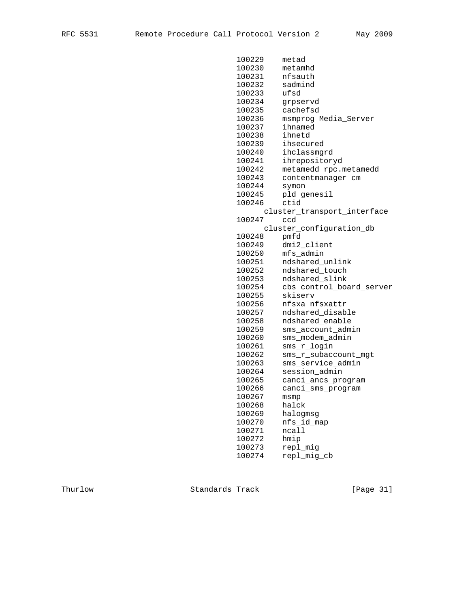| 100229 | metad                       |
|--------|-----------------------------|
| 100230 | metamhd                     |
| 100231 | nfsauth                     |
| 100232 | sadmind                     |
| 100233 | ufsd                        |
| 100234 | grpservd                    |
| 100235 | cachefsd                    |
| 100236 | msmprog Media_Server        |
| 100237 | ihnamed                     |
| 100238 | ihnetd                      |
| 100239 | ihsecured                   |
| 100240 | ihclassmgrd                 |
| 100241 | ihrepositoryd               |
| 100242 | metamedd rpc.metamedd       |
| 100243 | contentmanager cm           |
| 100244 | symon                       |
| 100245 | pld genesil                 |
| 100246 | ctid                        |
|        | cluster_transport_interface |
| 100247 | ccd                         |
|        | cluster_configuration_db    |
| 100248 | pmfd                        |
| 100249 | dmi2_client                 |
| 100250 | mfs_admin                   |
| 100251 | ndshared_unlink             |
| 100252 | ndshared_touch              |
| 100253 | ndshared_slink              |
| 100254 | cbs control_board_server    |
| 100255 | skiserv                     |
| 100256 | nfsxa nfsxattr              |
| 100257 | ndshared_disable            |
| 100258 | ndshared_enable             |
| 100259 | sms_account_admin           |
| 100260 | sms_modem_admin             |
| 100261 | sms_r_login                 |
| 100262 | sms_r_subaccount_mgt        |
| 100263 | sms_service_admin           |
| 100264 | session_admin               |
| 100265 | canci_ancs_program          |
| 100266 | canci_sms_program           |
| 100267 | msmp                        |
| 100268 | halck                       |
| 100269 | halogmsg                    |
| 100270 | nfs_id_map                  |
| 100271 | ncall                       |
| 100272 | hmip                        |
| 100273 | repl_mig                    |
| 100274 | repl_mig_cb                 |
|        |                             |

Thurlow Standards Track [Page 31]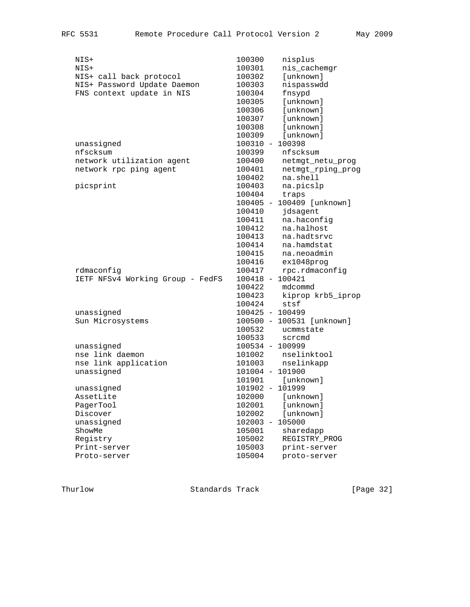| NIS+                             | 100300                             | nisplus                   |
|----------------------------------|------------------------------------|---------------------------|
| NIS+                             | 100301                             | nis_cachemgr              |
| NIS+ call back protocol          | 100302                             | [unknown]                 |
| NIS+ Password Update Daemon      | 100303                             | nispasswdd                |
| FNS context update in NIS        | 100304                             | fnsypd                    |
|                                  | 100305                             | [unknown]                 |
|                                  | 100306                             | [unknown]                 |
|                                  | 100307                             | [unknown]                 |
|                                  | 100308                             | [unknown]                 |
|                                  | 100309                             | [unknown]                 |
| unassigned                       | 100310 - 100398                    |                           |
| nfscksum                         | 100399                             | nfscksum                  |
| network utilization agent        | 100400                             | netmgt_netu_prog          |
| network rpc ping agent           | 100401                             | netmgt_rping_prog         |
|                                  | 100402                             | na.shell                  |
| picsprint                        | 100403                             | na.picslp                 |
|                                  | 100404                             | traps                     |
|                                  |                                    | 100405 - 100409 [unknown] |
|                                  | 100410                             | jdsagent                  |
|                                  | 100411                             | na.haconfiq               |
|                                  | 100412                             | na.halhost                |
|                                  | 100413                             | na.hadtsrvc               |
|                                  | 100414                             | na.hamdstat               |
|                                  | 100415                             | na.neoadmin               |
|                                  | 100416                             | ex1048prog                |
| rdmaconfiq                       | 100417                             | rpc.rdmaconfig            |
| IETF NFSv4 Working Group - FedFS | $100418 - 100421$                  |                           |
|                                  | 100422                             | mdcommd                   |
|                                  | 100423                             | kiprop krb5_iprop         |
|                                  | 100424                             | stsf                      |
| unassigned                       | 100425 - 100499                    |                           |
| Sun Microsystems                 |                                    | 100500 - 100531 [unknown] |
|                                  | 100532                             | ucmmstate                 |
|                                  | 100533                             | scrcmd                    |
| unassigned                       | 100534 - 100999                    |                           |
| nse link daemon                  | 101002                             | nselinktool               |
| nse link application             | 101003                             | nselinkapp                |
| unassigned                       | 101004 - 101900                    |                           |
|                                  | 101901                             | [unknown]                 |
| unassigned                       | 101902 - 101999                    |                           |
| AssetLite                        | 102000                             | [unknown]                 |
| PagerTool                        | 102001                             | [unknown]                 |
| Discover                         | 102002                             | [unknown]                 |
| unassigned                       | 102003<br>$\overline{\phantom{a}}$ | 105000                    |
| ShowMe                           | 105001                             | sharedapp                 |
| Registry                         | 105002                             | REGISTRY_PROG             |
| Print-server                     | 105003                             | print-server              |
| Proto-server                     | 105004                             | proto-server              |
|                                  |                                    |                           |

Thurlow Standards Track [Page 32]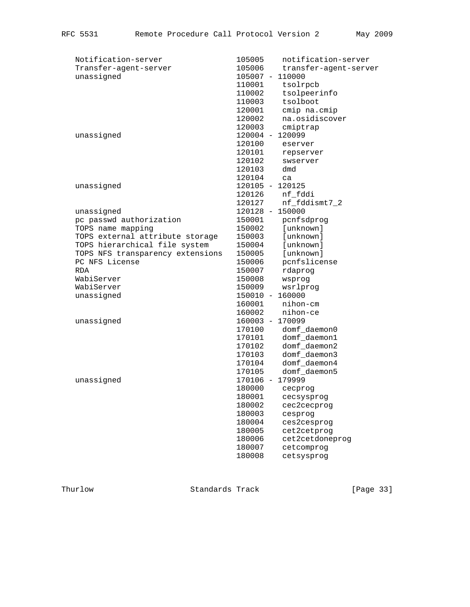| Notification-server              | notification-server<br>105005   |
|----------------------------------|---------------------------------|
| Transfer-agent-server            | 105006<br>transfer-agent-server |
| unassigned                       | 105007 - 110000                 |
|                                  | tsolrpcb<br>110001              |
|                                  | tsolpeerinfo<br>110002          |
|                                  | tsolboot<br>110003              |
|                                  | 120001<br>cmip na.cmip          |
|                                  | na.osidiscover<br>120002        |
|                                  | cmiptrap<br>120003              |
| unassigned                       | 120004 - 120099                 |
|                                  | 120100<br>eserver               |
|                                  | 120101<br>repserver             |
|                                  | 120102<br>swserver              |
|                                  | 120103<br>dmd                   |
|                                  | 120104<br>ca                    |
| unassigned                       | 120105 - 120125                 |
|                                  | 120126<br>nf_fddi               |
|                                  | 120127<br>nf_fddismt7_2         |
| unassigned                       | 120128 - 150000                 |
| pc passwd authorization          | 150001<br>pcnfsdprog            |
| TOPS name mapping                | 150002<br>[unknown]             |
| TOPS external attribute storage  | [unknown]<br>150003             |
| TOPS hierarchical file system    | 150004<br>[unknown]             |
| TOPS NFS transparency extensions | [unknown]<br>150005             |
| PC NFS License                   | pcnfslicense<br>150006          |
| RDA                              | rdaprog<br>150007               |
| WabiServer                       | 150008<br>wsprog                |
| WabiServer                       | wsrlprog<br>150009              |
| unassigned                       | 150010 - 160000                 |
|                                  | 160001<br>nihon-cm              |
|                                  | nihon-ce<br>160002              |
| unassigned                       | 160003 - 170099                 |
|                                  | 170100<br>domf_daemon0          |
|                                  | domf_daemon1<br>170101          |
|                                  | domf_daemon2<br>170102          |
|                                  | domf_daemon3<br>170103          |
|                                  | domf_daemon4<br>170104          |
|                                  | domf_daemon5<br>170105          |
| unassigned                       | 170106 - 179999                 |
|                                  | 180000<br>cecproq               |
|                                  | 180001<br>cecsysprog            |
|                                  | 180002<br>cec2cecprog           |
|                                  | 180003<br>cesprog               |
|                                  | 180004<br>ces2cesprog           |
|                                  | 180005<br>cet2cetprog           |
|                                  | 180006<br>cet2cetdoneprog       |
|                                  | 180007<br>cetcomprog            |
|                                  | 180008<br>cetsysprog            |

Thurlow Standards Track [Page 33]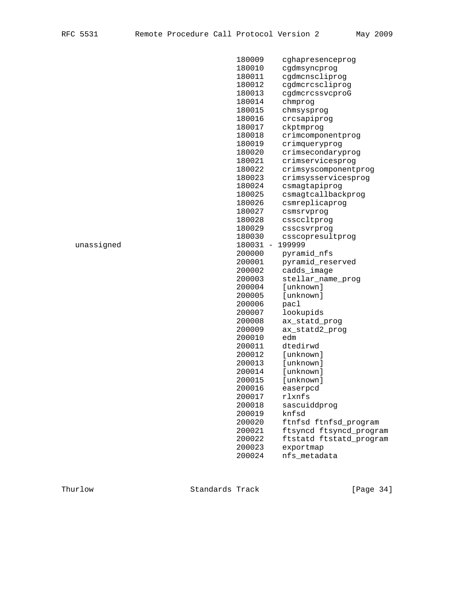|            | 180009   | cghapresenceprog        |
|------------|----------|-------------------------|
|            | 180010   | cgdmsyncprog            |
|            | 180011   | cgdmcnscliprog          |
|            | 180012   | cgdmcrcscliprog         |
|            | 180013   | cgdmcrcssvcproG         |
|            | 180014   | chmprog                 |
|            | 180015   | chmsysprog              |
|            | 180016   | crcsapiprog             |
|            | 180017   | ckptmprog               |
|            | 180018   | crimcomponentprog       |
|            | 180019   | crimqueryprog           |
|            | 180020   | crimsecondaryprog       |
|            | 180021   | crimservicesprog        |
|            | 180022   | crimsyscomponentprog    |
|            | 180023   | crimsysservicesprog     |
|            | 180024   | csmagtapiprog           |
|            | 180025   | csmagtcallbackprog      |
|            | 180026   | csmreplicaprog          |
|            | 180027   | csmsrvprog              |
|            | 180028   | cssccltprog             |
|            | 180029   | csscsvrprog             |
|            | 180030   | csscopresultprog        |
| unassigned | 180031 - | 199999                  |
|            | 200000   | pyramid_nfs             |
|            | 200001   | pyramid_reserved        |
|            | 200002   | cadds_image             |
|            | 200003   | stellar_name_prog       |
|            | 200004   | [unknown]               |
|            | 200005   | [unknown]               |
|            | 200006   | pacl                    |
|            | 200007   | lookupids               |
|            | 200008   | ax_statd_prog           |
|            | 200009   | ax_statd2_prog          |
|            | 200010   | edm                     |
|            | 200011   | dtedirwd                |
|            | 200012   | [unknown]               |
|            | 200013   | [unknown]               |
|            | 200014   | [unknown]               |
|            | 200015   | [unknown]               |
|            | 200016   | easerpcd                |
|            | 200017   | rlxnfs                  |
|            | 200018   | sascuiddprog            |
|            | 200019   | knfsd                   |
|            | 200020   | ftnfsd ftnfsd_program   |
|            | 200021   | ftsyncd ftsyncd_program |
|            | 200022   | ftstatd ftstatd_program |
|            | 200023   | exportmap               |
|            | 200024   | nfs_metadata            |
|            |          |                         |

Thurlow Standards Track [Page 34]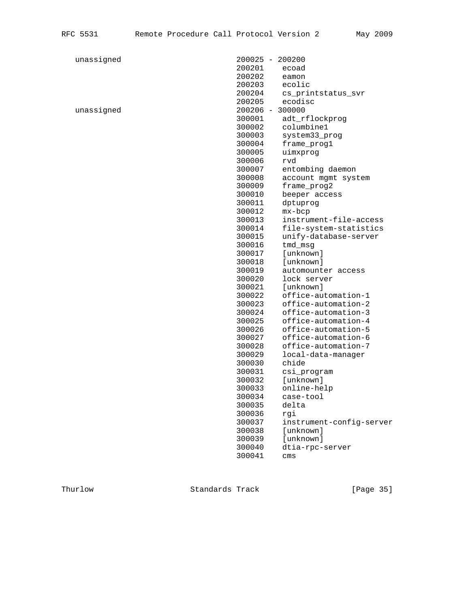| unassigned |        | 200025 - 200200          |
|------------|--------|--------------------------|
|            | 200201 | ecoad                    |
|            | 200202 | eamon                    |
|            | 200203 | ecolic                   |
|            | 200204 | cs_printstatus_svr       |
|            | 200205 | ecodisc                  |
| unassigned |        | 200206 - 300000          |
|            | 300001 | adt_rflockprog           |
|            | 300002 | columbine1               |
|            | 300003 | system33_prog            |
|            | 300004 | frame_prog1              |
|            | 300005 | uimxprog                 |
|            | 300006 | rvd                      |
|            | 300007 | entombing daemon         |
|            | 300008 | account mgmt system      |
|            | 300009 | frame_prog2              |
|            | 300010 | beeper access            |
|            | 300011 | dptuprog                 |
|            | 300012 | $mx-bcp$                 |
|            | 300013 | instrument-file-access   |
|            | 300014 | file-system-statistics   |
|            | 300015 | unify-database-server    |
|            | 300016 | tmd_msg                  |
|            | 300017 | [unknown]                |
|            | 300018 | [unknown]                |
|            | 300019 |                          |
|            |        | automounter access       |
|            | 300020 | lock server              |
|            | 300021 | [unknown]                |
|            | 300022 | office-automation-1      |
|            | 300023 | office-automation-2      |
|            | 300024 | office-automation-3      |
|            | 300025 | office-automation-4      |
|            | 300026 | office-automation-5      |
|            | 300027 | office-automation-6      |
|            | 300028 | office-automation-7      |
|            | 300029 | local-data-manager       |
|            | 300030 | chide                    |
|            | 300031 | csi_program              |
|            | 300032 | [unknown]                |
|            | 300033 | online-help              |
|            | 300034 | case-tool                |
|            | 300035 | delta                    |
|            | 300036 | rqi                      |
|            | 300037 | instrument-config-server |
|            | 300038 | [unknown]                |

Thurlow Standards Track [Page 35]

300039 [unknown]

300041 cms

300040 dtia-rpc-server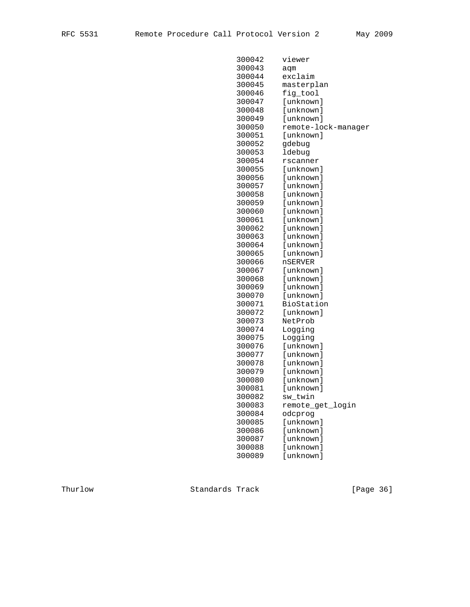| 300042 | viewer              |
|--------|---------------------|
| 300043 | aqm                 |
| 300044 | exclaim             |
| 300045 | masterplan          |
| 300046 | fig_tool            |
| 300047 | [unknown]           |
| 300048 | [unknown]           |
| 300049 | [unknown]           |
| 300050 | remote-lock-manager |
| 300051 | [unknown]           |
| 300052 | gdebug              |
| 300053 | ldebug              |
| 300054 | rscanner            |
| 300055 | [unknown]           |
| 300056 | [unknown]           |
| 300057 | [unknown]           |
| 300058 | [unknown]           |
| 300059 | [unknown]           |
| 300060 | [unknown]           |
| 300061 | [unknown]           |
| 300062 | [unknown]           |
| 300063 | [unknown]           |
| 300064 | [unknown]           |
| 300065 | [unknown]           |
| 300066 | <b>nSERVER</b>      |
| 300067 | [unknown]           |
| 300068 | [unknown]           |
| 300069 | [unknown]           |
| 300070 | [unknown]           |
| 300071 | BioStation          |
| 300072 | [unknown]           |
| 300073 | NetProb             |
| 300074 | Logging             |
| 300075 | Logging             |
| 300076 | [unknown]           |
| 300077 | [unknown]           |
| 300078 | [unknown]           |
| 300079 | [unknown]           |
| 300080 | [unknown]           |
| 300081 | [unknown]           |
| 300082 | sw_twin             |
| 300083 | remote_get_login    |
| 300084 | odcprog             |
| 300085 | [unknown]           |
| 300086 | [unknown]           |
| 300087 | [unknown]           |
| 300088 | [unknown]           |
| 300089 | [unknown]           |

Thurlow Standards Track [Page 36]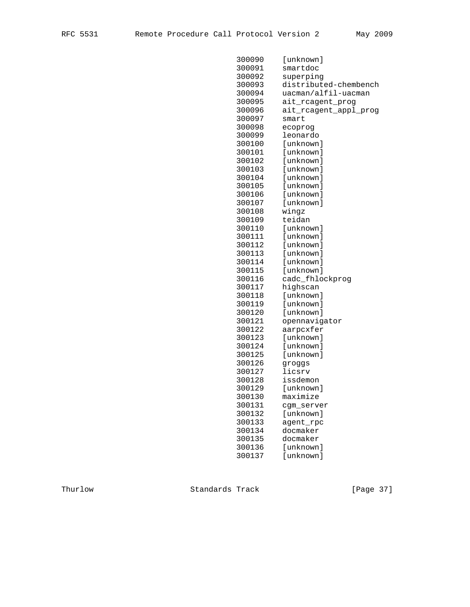| 300090 | [unknown]             |
|--------|-----------------------|
| 300091 | smartdoc              |
| 300092 | superping             |
| 300093 | distributed-chembench |
| 300094 | uacman/alfil-uacman   |
| 300095 | ait_rcagent_prog      |
| 300096 | ait_rcagent_appl_prog |
| 300097 | smart                 |
| 300098 | ecoprog               |
| 300099 | leonardo              |
| 300100 | [unknown]             |
| 300101 | [unknown]             |
| 300102 | [unknown]             |
| 300103 | [unknown]             |
| 300104 | [unknown]             |
| 300105 | [unknown]             |
| 300106 | [unknown]             |
| 300107 | [unknown]             |
| 300108 | wingz                 |
| 300109 | teidan                |
| 300110 | [unknown]             |
| 300111 | [unknown]             |
| 300112 | [unknown]             |
| 300113 | [unknown]             |
| 300114 | [unknown]             |
| 300115 | [unknown]             |
| 300116 | cadc_fhlockprog       |
| 300117 | highscan              |
| 300118 | [unknown]             |
| 300119 | [unknown]             |
| 300120 | [unknown]             |
| 300121 | opennavigator         |
| 300122 | aarpcxfer             |
| 300123 | [unknown]             |
| 300124 | [unknown]             |
| 300125 | [unknown]             |
| 300126 | groggs                |
| 300127 | licsrv                |
| 300128 | issdemon              |
| 300129 | [unknown]             |
| 300130 | maximize              |
| 300131 | cgm_server            |
| 300132 | [unknown]             |
| 300133 | agent_rpc             |
| 300134 | docmaker              |
| 300135 | docmaker              |
| 300136 | [unknown]             |
| 300137 | [unknown]             |
|        |                       |

Thurlow Standards Track [Page 37]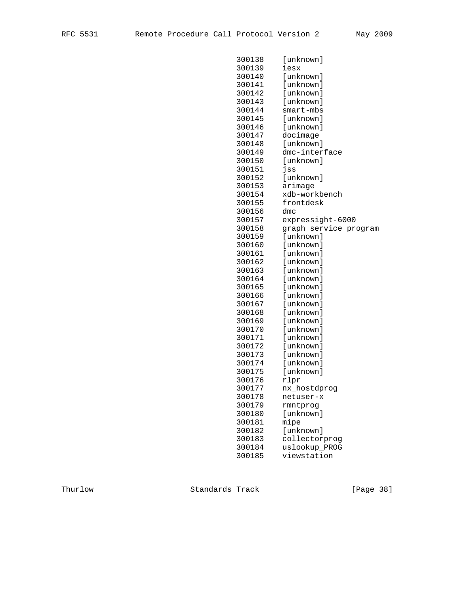| 300138 | [unknown]             |
|--------|-----------------------|
| 300139 | iesx                  |
| 300140 | [unknown]             |
| 300141 | [unknown]             |
| 300142 | [unknown]             |
| 300143 | [unknown]             |
| 300144 | $smart-mbs$           |
| 300145 | [unknown]             |
| 300146 | [unknown]             |
| 300147 | docimage              |
| 300148 | [unknown]             |
| 300149 | dmc-interface         |
| 300150 | [unknown]             |
| 300151 | jss                   |
| 300152 | [unknown]             |
| 300153 | arimage               |
| 300154 | xdb-workbench         |
| 300155 | frontdesk             |
| 300156 | dmc                   |
| 300157 | expressight-6000      |
| 300158 | graph service program |
| 300159 | [unknown]             |
| 300160 | [unknown]             |
| 300161 | [unknown]             |
| 300162 | [unknown]             |
| 300163 | [unknown]             |
| 300164 | [unknown]             |
| 300165 | [unknown]             |
| 300166 | [unknown]             |
| 300167 | [unknown]             |
| 300168 | [unknown]             |
| 300169 | [unknown]             |
| 300170 | [unknown]             |
| 300171 | [unknown]             |
| 300172 | [unknown]             |
| 300173 | [unknown]             |
| 300174 | [unknown]             |
| 300175 | [unknown]             |
| 300176 | rlpr                  |
| 300177 | nx_hostdprog          |
| 300178 | netuser-x             |
| 300179 | rmntprog              |
| 300180 | [unknown]             |
| 300181 | mipe                  |
| 300182 | [unknown]             |
| 300183 | collectorprog         |
| 300184 | uslookup_PROG         |
| 300185 | viewstation           |
|        |                       |

Thurlow Standards Track [Page 38]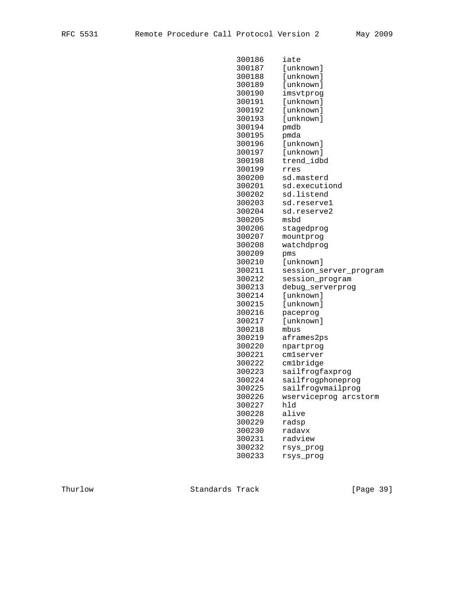| 300186 | iate                   |
|--------|------------------------|
| 300187 | [unknown]              |
| 300188 | [unknown]              |
| 300189 | [unknown]              |
| 300190 | imsvtprog              |
| 300191 | [unknown]              |
| 300192 | [unknown]              |
| 300193 | [unknown]              |
| 300194 | pmdb                   |
| 300195 | pmda                   |
| 300196 | [unknown]              |
| 300197 | [unknown]              |
| 300198 | trend_idbd             |
| 300199 | rres                   |
| 300200 | sd.masterd             |
| 300201 | sd.executiond          |
| 300202 | sd.listend             |
| 300203 | sd.reservel            |
| 300204 | sd.reserve2            |
| 300205 | msbd                   |
| 300206 | stagedprog             |
| 300207 | mountprog              |
| 300208 | watchdprog             |
| 300209 | pms                    |
| 300210 | [unknown]              |
| 300211 | session_server_program |
| 300212 | session_program        |
| 300213 | debug_serverprog       |
| 300214 | [unknown]              |
| 300215 | [unknown]              |
| 300216 | paceprog               |
| 300217 | [unknown]              |
| 300218 | mbus                   |
| 300219 | aframes2ps             |
| 300220 | npartprog              |
| 300221 | cmlserver              |
| 300222 | cm1bridge              |
| 300223 | sailfrogfaxprog        |
| 300224 | sailfrogphoneprog      |
| 300225 | sailfrogvmailprog      |
| 300226 | wserviceprog arcstorm  |
| 300227 | hld                    |
| 300228 | alive                  |
| 300229 | radsp                  |
| 300230 | radavx                 |
| 300231 | radview                |
| 300232 | rsys_prog              |
| 300233 | rsys_prog              |
|        |                        |

Thurlow Standards Track [Page 39]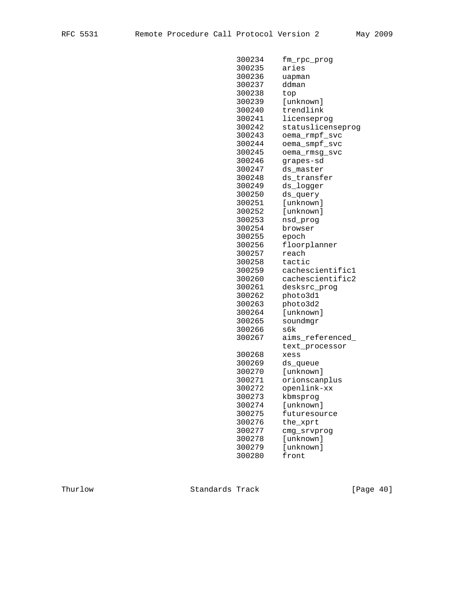| 300234 | fm_rpc_prog           |
|--------|-----------------------|
| 300235 | aries                 |
| 300236 | uapman                |
| 300237 | ddman                 |
| 300238 | top                   |
| 300239 | [unknown]             |
| 300240 | trendlink             |
| 300241 | licenseprog           |
| 300242 | statuslicenseprog     |
| 300243 | oema_rmpf_svc         |
| 300244 | oema_smpf_svc         |
| 300245 | oema_rmsg_svc         |
| 300246 | grapes-sd             |
| 300247 | ds master             |
| 300248 | ds_transfer           |
| 300249 | ds_logger             |
| 300250 |                       |
|        | ds_query<br>[unknown] |
| 300251 |                       |
| 300252 | [unknown]             |
| 300253 | nsd_prog              |
| 300254 | browser               |
| 300255 | epoch                 |
| 300256 | floorplanner          |
| 300257 | reach                 |
| 300258 | tactic                |
| 300259 | cachescientific1      |
| 300260 | cachescientific2      |
| 300261 | desksrc_prog          |
| 300262 | photo3d1              |
| 300263 | photo3d2              |
| 300264 | [unknown]             |
| 300265 | soundmgr              |
| 300266 | s6k                   |
| 300267 | aims_referenced_      |
|        | text_processor        |
| 300268 | xess                  |
| 300269 | ds_queue              |
| 300270 | [unknown]             |
| 300271 | orionscanplus         |
| 300272 | openlink-xx           |
| 300273 | kbmsprog              |
| 300274 | [unknown]             |
| 300275 | futuresource          |
| 300276 | the_xprt              |
| 300277 | cmg_srvprog           |
| 300278 | [unknown]             |
| 300279 | [unknown]             |
| 300280 | front                 |
|        |                       |

Thurlow Standards Track [Page 40]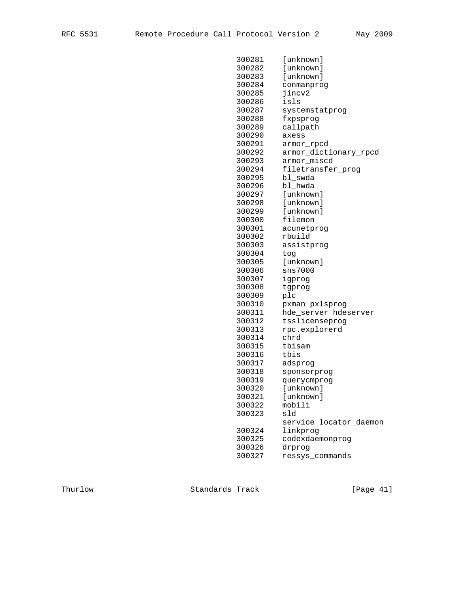| 300281 | [unknown]              |
|--------|------------------------|
| 300282 | [unknown]              |
| 300283 | [unknown]              |
| 300284 | conmanprog             |
| 300285 | jincv2                 |
| 300286 | isls                   |
| 300287 | systemstatprog         |
| 300288 | fxpsprog               |
| 300289 | callpath               |
| 300290 | axess                  |
| 300291 | armor_rpcd             |
| 300292 | armor_dictionary_rpcd  |
| 300293 | armor_miscd            |
| 300294 | filetransfer_prog      |
| 300295 | bl_swda                |
| 300296 | bl_hwda                |
| 300297 | [unknown]              |
| 300298 | [unknown]              |
| 300299 | [unknown]              |
| 300300 | filemon                |
| 300301 | acunetprog             |
| 300302 | rbuild                 |
| 300303 | assistprog             |
| 300304 | tog                    |
| 300305 | [unknown]              |
| 300306 | sns7000                |
| 300307 | igprog                 |
| 300308 | tgprog                 |
| 300309 | plc                    |
| 300310 | pxman pxlsprog         |
| 300311 | hde_server hdeserver   |
| 300312 | tsslicenseprog         |
| 300313 | rpc.explorerd          |
| 300314 | chrd                   |
| 300315 | tbisam                 |
| 300316 | tbis                   |
| 300317 | adsprog                |
| 300318 | sponsorprog            |
| 300319 | querycmprog            |
| 300320 | [unknown]              |
| 300321 | [unknown]              |
| 300322 | mobil1                 |
| 300323 | sld                    |
|        | service_locator_daemon |
| 300324 | linkprog               |
| 300325 | codexdaemonprog        |
| 300326 | drprog                 |
| 300327 | ressys_commands        |
|        |                        |

Thurlow Standards Track [Page 41]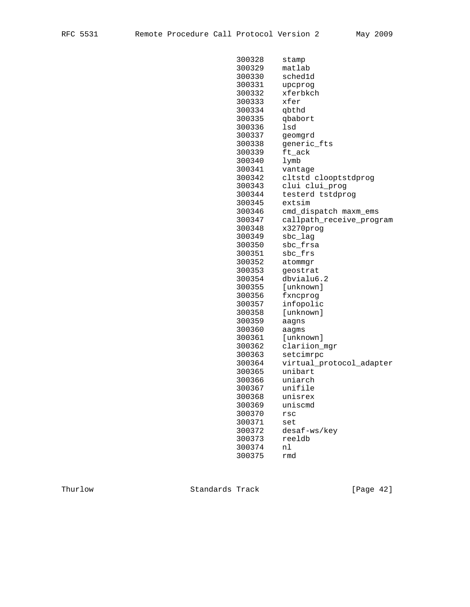| 300328 | stamp                    |
|--------|--------------------------|
| 300329 | matlab                   |
| 300330 | sched1d                  |
| 300331 | upcprog                  |
| 300332 | xferbkch                 |
| 300333 | xfer                     |
| 300334 | qbthd                    |
| 300335 | qbabort                  |
| 300336 | lsd                      |
| 300337 | geomgrd                  |
| 300338 | generic_fts              |
| 300339 | ft_ack                   |
| 300340 | lymb                     |
| 300341 | vantage                  |
| 300342 | cltstd clooptstdprog     |
| 300343 | clui clui_prog           |
| 300344 | testerd tstdprog         |
| 300345 | extsim                   |
| 300346 | cmd_dispatch maxm_ems    |
| 300347 | callpath_receive_program |
| 300348 | x3270prog                |
| 300349 | sbc_lag                  |
| 300350 | sbc_frsa                 |
| 300351 | sbc_frs                  |
| 300352 | atommgr                  |
| 300353 | qeostrat                 |
| 300354 | dbvialu6.2               |
| 300355 | [unknown]                |
| 300356 | fxncprog                 |
| 300357 | infopolic                |
| 300358 | [unknown]                |
| 300359 | aagns                    |
| 300360 | aagms                    |
| 300361 | [unknown]                |
| 300362 | clariion_mgr             |
| 300363 | setcimrpc                |
| 300364 | virtual_protocol_adapter |
| 300365 | unibart                  |
| 300366 | uniarch                  |
| 300367 | unifile                  |
| 300368 | unisrex                  |
| 300369 | uniscmd                  |
| 300370 | rsc                      |
| 300371 | set                      |
| 300372 | desaf-ws/key             |
| 300373 | reeldb                   |
| 300374 | nl                       |
| 300375 | rmd                      |
|        |                          |

Thurlow Standards Track [Page 42]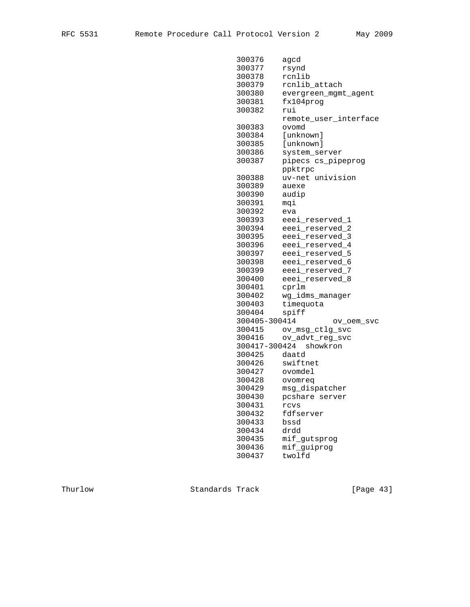| 300376        | agcd                  |
|---------------|-----------------------|
| 300377        | rsynd                 |
| 300378        | rcnlib                |
| 300379        | rcnlib_attach         |
| 300380        | evergreen_mgmt_agent  |
| 300381        | fx104proq             |
| 300382        | rui                   |
|               | remote_user_interface |
| 300383        | ovomd                 |
| 300384        | [unknown]             |
| 300385        | [unknown]             |
| 300386        | system_server         |
| 300387        | pipecs cs_pipeprog    |
|               | ppktrpc               |
| 300388        | uv-net univision      |
| 300389        | auexe                 |
| 300390        | audip                 |
| 300391        | mqi                   |
| 300392        | eva                   |
| 300393        | eeei_reserved_1       |
| 300394        | eeei reserved 2       |
| 300395        | eeei_reserved_3       |
| 300396        | eeei_reserved_4       |
| 300397        | eeei_reserved_5       |
| 300398        | eeei_reserved_6       |
| 300399        | eeei_reserved_7       |
| 300400        | eeei_reserved_8       |
| 300401        | cprlm                 |
| 300402        | wg_idms_manager       |
| 300403        | timequota             |
| 300404        | spiff                 |
| 300405-300414 | ov_oem_svc            |
| 300415        | ov_msg_ctlg_svc       |
| 300416        | ov_advt_reg_svc       |
| 300417-300424 | showkron              |
| 300425        | daatd                 |
| 300426        | swiftnet              |
| 300427        | ovomdel               |
| 300428        | ovomreg               |
| 300429        | msg_dispatcher        |
| 300430        | pcshare server        |
| 300431        | rcvs                  |
| 300432        | fdfserver             |
| 300433        | bssd                  |
| 300434        | drdd                  |
| 300435        | mif_gutsprog          |
| 300436        | mif_guiprog           |
| 300437        | twolfd                |
|               |                       |

Thurlow Standards Track [Page 43]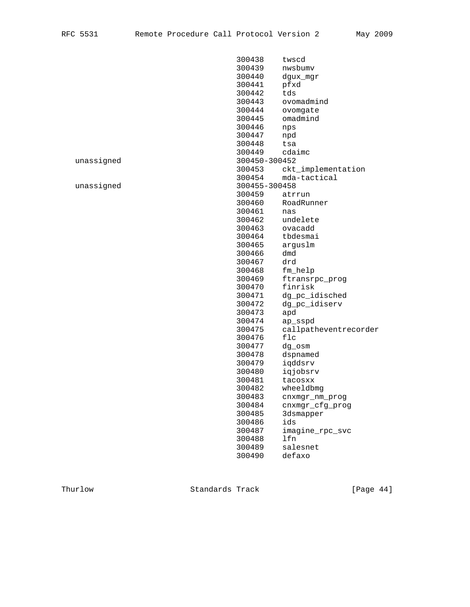|            | 300438        | twscd                 |
|------------|---------------|-----------------------|
|            | 300439        | nwsbumv               |
|            | 300440        | dgux_mgr              |
|            | 300441        | pfxd                  |
|            | 300442        | tds                   |
|            | 300443        | ovomadmind            |
|            | 300444        | ovomgate              |
|            | 300445        | omadmind              |
|            | 300446        | nps                   |
|            | 300447        | npd                   |
|            | 300448        | tsa                   |
|            | 300449        | cdaimc                |
| unassigned | 300450-300452 |                       |
|            | 300453        | ckt_implementation    |
|            | 300454        | mda-tactical          |
| unassigned | 300455-300458 |                       |
|            | 300459        | atrrun                |
|            | 300460        | RoadRunner            |
|            | 300461        | nas                   |
|            | 300462        | undelete              |
|            | 300463        | ovacadd               |
|            | 300464        | tbdesmai              |
|            | 300465        | arguslm               |
|            | 300466        | dmd                   |
|            | 300467        | drd                   |
|            | 300468        | fm_help               |
|            | 300469        | ftransrpc_prog        |
|            | 300470        | finrisk               |
|            | 300471        | dg_pc_idisched        |
|            | 300472        | dg_pc_idiserv         |
|            | 300473        | apd                   |
|            | 300474        | ap_sspd               |
|            | 300475        | callpatheventrecorder |
|            | 300476        | flc                   |
|            | 300477        | dg_osm                |
|            | 300478        | dspnamed              |
|            | 300479        | iqddsrv               |
|            | 300480        | iqjobsrv              |
|            | 300481        | tacosxx               |
|            | 300482        | wheeldbmg             |
|            | 300483        | cnxmgr_nm_prog        |
|            | 300484        | cnxmgr_cfg_prog       |
|            | 300485        | 3dsmapper             |
|            | 300486        | ids                   |
|            | 300487        | imagine_rpc_svc       |
|            | 300488        | lfn                   |
|            | 300489        | salesnet              |
|            | 300490        | defaxo                |
|            |               |                       |

Thurlow Standards Track [Page 44]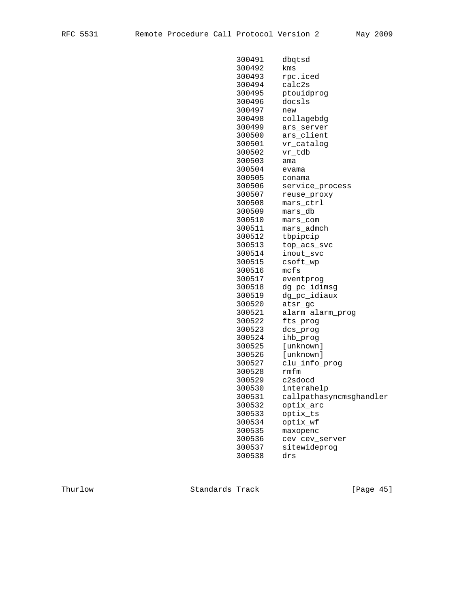| 300491 | dbqtsd                  |
|--------|-------------------------|
| 300492 | kms                     |
| 300493 | rpc.iced                |
| 300494 | calc2s                  |
| 300495 | ptouidprog              |
| 300496 | docsls                  |
| 300497 | new                     |
| 300498 | collagebdg              |
| 300499 | ars server              |
| 300500 | ars_client              |
| 300501 | vr_catalog              |
| 300502 | vr tdb                  |
| 300503 | ama                     |
| 300504 | evama                   |
| 300505 | conama                  |
| 300506 | service_process         |
| 300507 | reuse_proxy             |
| 300508 | mars ctrl               |
| 300509 | mars_db                 |
| 300510 | mars_com                |
| 300511 | mars_admch              |
| 300512 | tbpipcip                |
| 300513 | top_acs_svc             |
| 300514 | inout_svc               |
| 300515 | csoft_wp                |
| 300516 | mcfs                    |
| 300517 | eventprog               |
| 300518 | dg_pc_idimsg            |
| 300519 | dg_pc_idiaux            |
| 300520 | atsr_gc                 |
| 300521 | alarm alarm_prog        |
| 300522 | fts_prog                |
| 300523 | dcs_prog                |
| 300524 | ihb_prog                |
| 300525 | [unknown]               |
| 300526 | [unknown]               |
| 300527 | clu_info_prog           |
| 300528 | rmfm                    |
| 300529 | c2sdocd                 |
| 300530 | interahelp              |
| 300531 | callpathasyncmsghandler |
| 300532 | optix_arc               |
| 300533 | optix_ts                |
| 300534 | optix_wf                |
| 300535 | maxopenc                |
| 300536 | cev cev_server          |
| 300537 | sitewideprog            |
|        |                         |
| 300538 | drs                     |

Thurlow Standards Track [Page 45]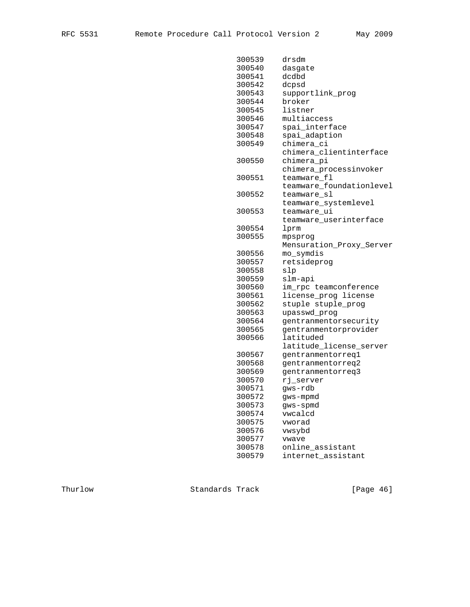| 300539 | drsdm                    |
|--------|--------------------------|
| 300540 | dasgate                  |
| 300541 | dcdbd                    |
| 300542 | dcpsd                    |
| 300543 | supportlink_prog         |
| 300544 | broker                   |
| 300545 | listner                  |
| 300546 | multiaccess              |
| 300547 | spai_interface           |
| 300548 | spai_adaption            |
| 300549 | chimera ci               |
|        | chimera_clientinterface  |
| 300550 | chimera pi               |
|        | chimera_processinvoker   |
| 300551 | teamware_fl              |
|        | teamware_foundationlevel |
| 300552 | teamware_sl              |
|        | teamware_systemlevel     |
| 300553 | teamware ui              |
|        | teamware_userinterface   |
| 300554 | lprm                     |
| 300555 | mpsprog                  |
|        | Mensuration_Proxy_Server |
| 300556 | mo_symdis                |
| 300557 | retsideprog              |
| 300558 | slp                      |
| 300559 | slm-api                  |
| 300560 | im_rpc teamconference    |
| 300561 | license_prog license     |
| 300562 | stuple stuple_prog       |
| 300563 | upasswd_prog             |
| 300564 | gentranmentorsecurity    |
| 300565 | gentranmentorprovider    |
| 300566 | latituded                |
|        | latitude_license_server  |
| 300567 | gentranmentorreq1        |
| 300568 | gentranmentorreq2        |
| 300569 | gentranmentorreq3        |
| 300570 | rj server                |
| 300571 | gws-rdb                  |
| 300572 | gws-mpmd                 |
| 300573 | gws-spmd                 |
| 300574 | vwcalcd                  |
| 300575 | vworad                   |
| 300576 | vwsybd                   |
| 300577 | vwave                    |
| 300578 | online_assistant         |
| 300579 | internet_assistant       |

Thurlow Standards Track [Page 46]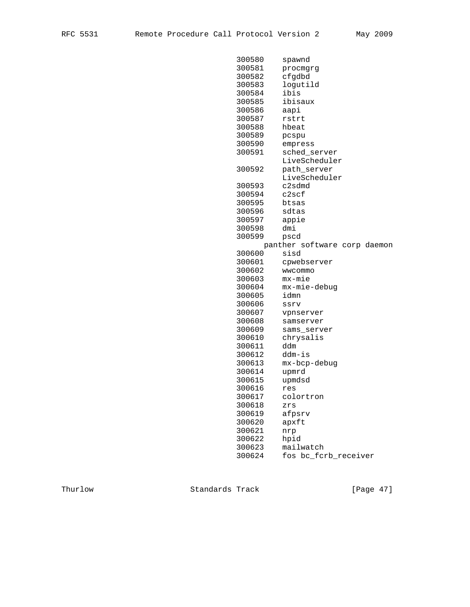| 300580 | spawnd                       |
|--------|------------------------------|
| 300581 | procmgrg                     |
| 300582 | cfgdbd                       |
| 300583 | logutild                     |
| 300584 | ibis                         |
| 300585 | ibisaux                      |
| 300586 | aapi                         |
| 300587 | rstrt                        |
| 300588 | hbeat                        |
| 300589 | pcspu                        |
| 300590 | empress                      |
| 300591 | sched_server                 |
|        | LiveScheduler                |
| 300592 |                              |
|        | path_server<br>LiveScheduler |
|        | c2sdmd                       |
| 300593 |                              |
| 300594 | c2scf                        |
| 300595 | btsas                        |
| 300596 | sdtas                        |
| 300597 | appie                        |
| 300598 | dmi                          |
| 300599 | pscd                         |
|        | panther software corp daemon |
| 300600 | sisd                         |
| 300601 | cpwebserver                  |
| 300602 | wwcommo                      |
| 300603 | mx-mie                       |
| 300604 | mx-mie-debug                 |
| 300605 | idmn                         |
| 300606 | ssrv                         |
| 300607 | vpnserver                    |
| 300608 | samserver                    |
| 300609 | sams_server                  |
| 300610 | chrysalis                    |
| 300611 | ddm                          |
| 300612 | ddm-is                       |
| 300613 | mx-bcp-debug                 |
| 300614 | upmrd                        |
| 300615 | upmdsd                       |
| 300616 | res                          |
| 300617 | colortron                    |
| 300618 | zrs                          |
| 300619 | afpsrv                       |
| 300620 | apxft                        |
| 300621 | nrp                          |
| 300622 | hpid                         |
| 300623 | mailwatch                    |
| 300624 | fos bc_fcrb_receiver         |
|        |                              |

Thurlow Standards Track [Page 47]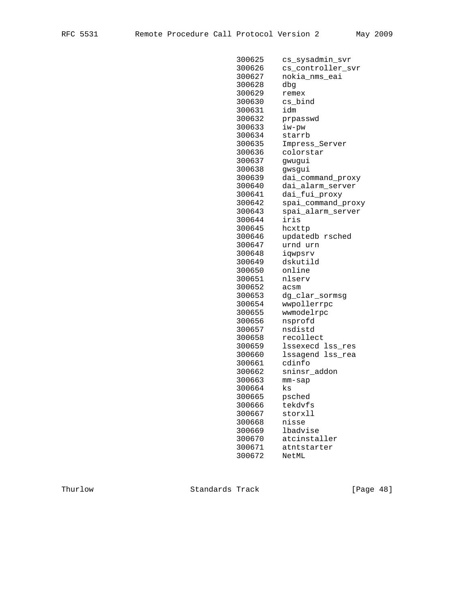| 300625 | cs_sysadmin_svr    |
|--------|--------------------|
| 300626 | cs_controller_svr  |
| 300627 | nokia nms eai      |
| 300628 | dbq                |
| 300629 | remex              |
| 300630 | cs_bind            |
| 300631 | idm                |
| 300632 | prpasswd           |
| 300633 | iw-pw              |
| 300634 | starrb             |
| 300635 | Impress_Server     |
| 300636 | colorstar          |
| 300637 | gwugui             |
| 300638 | gwsgui             |
| 300639 | dai_command_proxy  |
| 300640 | dai_alarm_server   |
| 300641 | dai_fui_proxy      |
| 300642 | spai_command_proxy |
| 300643 | spai_alarm_server  |
| 300644 | iris               |
| 300645 | hcxttp             |
| 300646 | updatedb rsched    |
| 300647 | urnd urn           |
| 300648 | iqwpsrv            |
| 300649 | dskutild           |
| 300650 | online             |
| 300651 | nlserv             |
| 300652 | acsm               |
| 300653 | dg_clar_sormsg     |
| 300654 | wwpollerrpc        |
| 300655 | wwmodelrpc         |
| 300656 | nsprofd            |
| 300657 | nsdistd            |
| 300658 | recollect          |
| 300659 | lssexecd lss_res   |
| 300660 | lssagend lss_rea   |
| 300661 | cdinfo             |
| 300662 | sninsr_addon       |
| 300663 | $mm-sap$           |
| 300664 | ks                 |
| 300665 | psched             |
| 300666 | tekdvfs            |
| 300667 | storxll            |
| 300668 | nisse              |
| 300669 | lbadvise           |
| 300670 | atcinstaller       |
| 300671 | atntstarter        |
| 300672 | NetML              |
|        |                    |

Thurlow Standards Track [Page 48]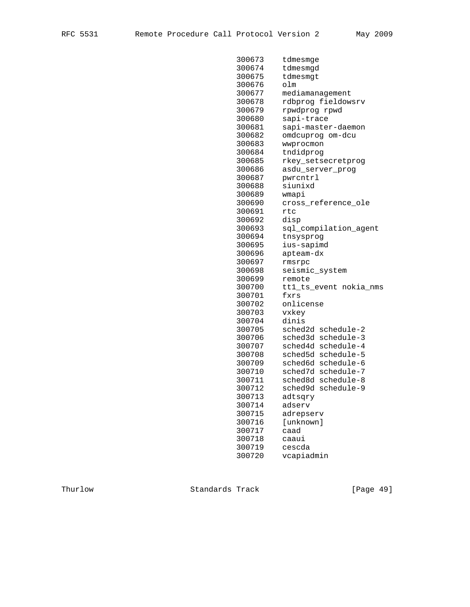| 300673 | tdmesmge               |
|--------|------------------------|
| 300674 | tdmesmgd               |
| 300675 | tdmesmgt               |
| 300676 | olm                    |
| 300677 | mediamanagement        |
| 300678 | rdbprog fieldowsrv     |
| 300679 | rpwdprog rpwd          |
| 300680 | sapi-trace             |
| 300681 | sapi-master-daemon     |
| 300682 | omdcuprog om-dcu       |
| 300683 | wwprocmon              |
| 300684 | tndidprog              |
| 300685 | rkey_setsecretprog     |
| 300686 | asdu_server_prog       |
| 300687 | pwrcntrl               |
| 300688 | siunixd                |
| 300689 | wmapi                  |
| 300690 | cross_reference_ole    |
| 300691 | rtc                    |
| 300692 | disp                   |
| 300693 | sql_compilation_agent  |
| 300694 | tnsysprog              |
| 300695 | ius-sapimd             |
| 300696 | apteam-dx              |
| 300697 | rmsrpc                 |
| 300698 | seismic_system         |
| 300699 | remote                 |
| 300700 | tt1_ts_event nokia_nms |
| 300701 | fxrs                   |
| 300702 | onlicense              |
| 300703 | vxkey                  |
| 300704 | dinis                  |
| 300705 | sched2d schedule-2     |
| 300706 | sched3d schedule-3     |
| 300707 | sched4d schedule-4     |
| 300708 | sched5d schedule-5     |
| 300709 | sched6d schedule-6     |
| 300710 | sched7d schedule-7     |
| 300711 | sched8d schedule-8     |
| 300712 | sched9d schedule-9     |
| 300713 | adtsqry                |
| 300714 | adserv                 |
| 300715 | adrepserv              |
| 300716 | [unknown]              |
| 300717 | caad                   |
| 300718 | caaui                  |
| 300719 | cescda                 |
| 300720 | vcapiadmin             |
|        |                        |

Thurlow Standards Track [Page 49]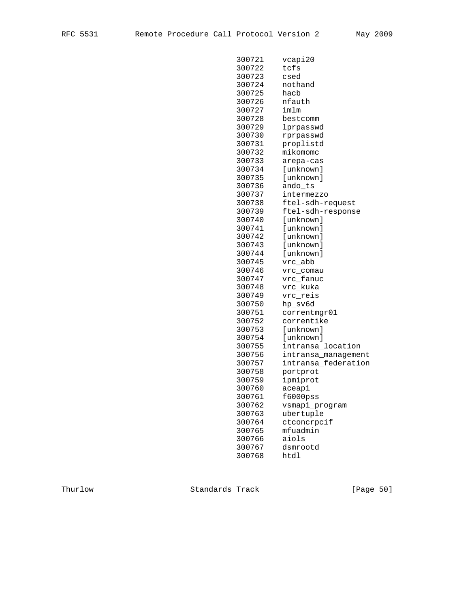| 300721 | vcapi20             |
|--------|---------------------|
| 300722 | tcfs                |
| 300723 | csed                |
| 300724 | nothand             |
| 300725 | hacb                |
| 300726 | nfauth              |
| 300727 | imlm                |
| 300728 | bestcomm            |
| 300729 | lprpasswd           |
| 300730 | rprpasswd           |
| 300731 | proplistd           |
| 300732 | mikomomc            |
| 300733 | arepa-cas           |
| 300734 | [unknown]           |
| 300735 | [unknown]           |
| 300736 | ando_ts             |
| 300737 | intermezzo          |
| 300738 | ftel-sdh-request    |
| 300739 | ftel-sdh-response   |
| 300740 | [unknown]           |
| 300741 | [unknown]           |
| 300742 | [unknown]           |
| 300743 | [unknown]           |
| 300744 | [unknown]           |
| 300745 | vrc_abb             |
| 300746 | vrc_comau           |
| 300747 | vrc_fanuc           |
| 300748 | vrc_kuka            |
| 300749 | vrc_reis            |
| 300750 | hp_sv6d             |
| 300751 | correntmgr01        |
| 300752 | correntike          |
| 300753 | [unknown]           |
| 300754 | [unknown]           |
| 300755 | intransa_location   |
| 300756 | intransa_management |
| 300757 | intransa_federation |
| 300758 | portprot            |
| 300759 | ipmiprot            |
| 300760 | aceapi              |
| 300761 | $f6000$ $pss$       |
| 300762 | vsmapi_program      |
| 300763 | ubertuple           |
| 300764 | ctconcrpcif         |
| 300765 | mfuadmin            |
| 300766 | aiols               |
| 300767 | dsmrootd            |
| 300768 | htdl                |
|        |                     |

Thurlow Standards Track [Page 50]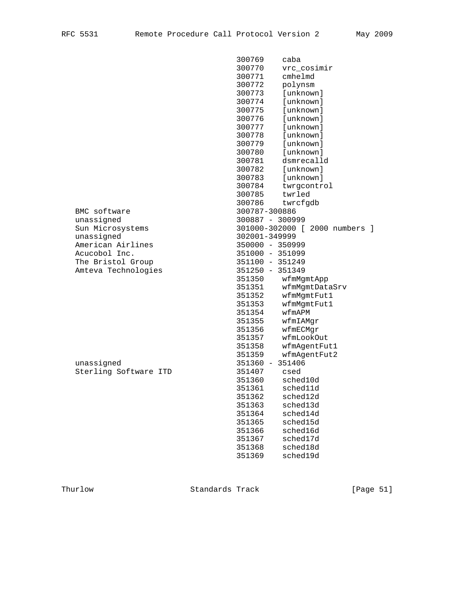|                       | 300769<br>caba                 |
|-----------------------|--------------------------------|
|                       | 300770<br>vrc cosimir          |
|                       | cmhelmd<br>300771              |
|                       | 300772<br>polynsm              |
|                       | 300773<br>[unknown]            |
|                       | 300774<br>[unknown]            |
|                       | 300775<br>[unknown]            |
|                       | 300776<br>[unknown]            |
|                       | 300777<br>[unknown]            |
|                       | 300778<br>[unknown]            |
|                       | 300779<br>[unknown]            |
|                       | 300780<br>[unknown]            |
|                       | 300781<br>dsmrecalld           |
|                       | 300782<br>[unknown]            |
|                       | 300783<br>[unknown]            |
|                       | 300784<br>twrgcontrol          |
|                       | 300785<br>twrled               |
|                       | 300786<br>twrcfgdb             |
| BMC software          | 300787-300886                  |
| unassigned            | 300887 - 300999                |
| Sun Microsystems      | 301000-302000 [ 2000 numbers ] |
| unassigned            | 302001-349999                  |
| American Airlines     | 350000 - 350999                |
| Acucobol Inc.         | 351000 - 351099                |
| The Bristol Group     | 351100 - 351249                |
| Amteva Technologies   | 351250 - 351349                |
|                       | 351350<br>wfmMgmtApp           |
|                       | 351351<br>wfmMgmtDataSrv       |
|                       | 351352<br>wfmMgmtFut1          |
|                       | 351353<br>wfmMgmtFut1          |
|                       | wfmAPM<br>351354               |
|                       | 351355<br>wfmIAMgr             |
|                       | 351356<br>wfmECMgr             |
|                       | 351357<br>wfmLookOut           |
|                       | 351358<br>wfmAgentFut1         |
|                       | 351359<br>wfmAgentFut2         |
| unassigned            | 351360 - 351406                |
| Sterling Software ITD | 351407<br>csed                 |
|                       | sched10d<br>351360             |
|                       | 351361<br>sched11d             |
|                       | 351362<br>sched12d             |
|                       | 351363<br>sched13d             |
|                       | 351364<br>sched14d             |
|                       | 351365<br>sched15d             |
|                       | 351366<br>sched16d             |
|                       | 351367<br>sched17d             |
|                       | sched18d<br>351368             |
|                       |                                |
|                       | 351369<br>sched19d             |

Thurlow Standards Track [Page 51]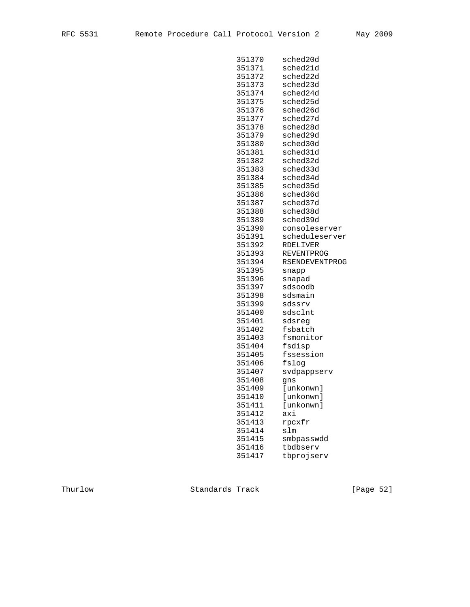| ⌒<br>۰ تا ب<br>$\overline{\phantom{0}}$ |
|-----------------------------------------|
|-----------------------------------------|

| 351370 | sched20d          |
|--------|-------------------|
| 351371 | sched21d          |
| 351372 | sched22d          |
| 351373 | sched23d          |
| 351374 | sched24d          |
| 351375 | sched25d          |
| 351376 | sched26d          |
| 351377 | sched27d          |
| 351378 | sched28d          |
| 351379 | sched29d          |
| 351380 | sched30d          |
| 351381 | sched31d          |
| 351382 | sched32d          |
| 351383 | sched33d          |
| 351384 | sched34d          |
| 351385 | sched35d          |
| 351386 | sched36d          |
| 351387 | sched37d          |
| 351388 | sched38d          |
| 351389 | sched39d          |
| 351390 | consoleserver     |
| 351391 | scheduleserver    |
| 351392 | RDELIVER          |
| 351393 | <b>REVENTPROG</b> |
| 351394 | RSENDEVENTPROG    |
| 351395 | snapp             |
| 351396 | snapad            |
| 351397 | sdsoodb           |
| 351398 | sdsmain           |
| 351399 | sdssrv            |
| 351400 | sdsclnt           |
| 351401 | sdsreg            |
| 351402 | fsbatch           |
| 351403 | fsmonitor         |
| 351404 | fsdisp            |
| 351405 | fssession         |
| 351406 | fslog             |
| 351407 | svdpappserv       |
| 351408 | qns               |
| 351409 | [unkonwn]         |
| 351410 | [unkonwn]         |
| 351411 | [unkonwn]         |
| 351412 | axi               |
| 351413 | rpcxfr            |
| 351414 | slm               |
| 351415 | smbpasswdd        |
| 351416 | tbdbserv          |
| 351417 | tbprojserv        |
|        |                   |

Thurlow Standards Track [Page 52]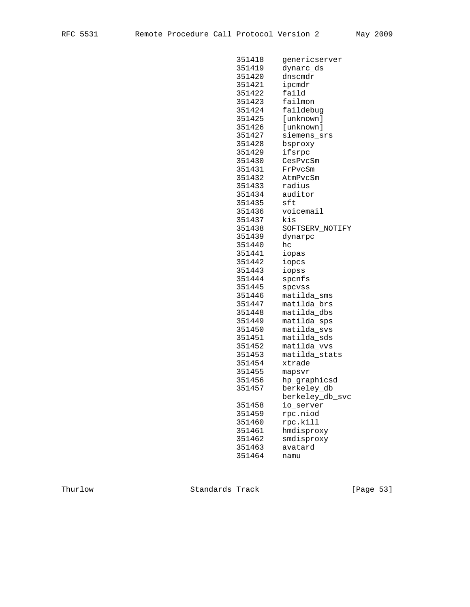| 351418 | genericserver   |
|--------|-----------------|
| 351419 | dynarc_ds       |
| 351420 | dnscmdr         |
| 351421 | ipcmdr          |
| 351422 | faild           |
| 351423 | failmon         |
| 351424 | faildebug       |
| 351425 | [unknown]       |
| 351426 | [unknown]       |
| 351427 | siemens srs     |
| 351428 | bsproxy         |
| 351429 | ifsrpc          |
| 351430 | CesPvcSm        |
| 351431 | FrPvcSm         |
| 351432 | AtmPvcSm        |
| 351433 | radius          |
| 351434 | auditor         |
| 351435 | sft             |
| 351436 | voicemail       |
| 351437 | kis             |
| 351438 | SOFTSERV_NOTIFY |
| 351439 | dynarpc         |
| 351440 | hc              |
| 351441 | iopas           |
| 351442 | iopcs           |
| 351443 | iopss           |
| 351444 | spcnfs          |
| 351445 | spcvss          |
| 351446 | matilda_sms     |
| 351447 | matilda_brs     |
| 351448 | matilda_dbs     |
| 351449 | matilda_sps     |
| 351450 | matilda_svs     |
| 351451 | matilda_sds     |
| 351452 | matilda_vvs     |
| 351453 | matilda_stats   |
| 351454 | xtrade          |
| 351455 | mapsvr          |
| 351456 | hp_graphicsd    |
| 351457 | berkeley_db     |
|        | berkeley_db_svc |
| 351458 | io_server       |
| 351459 | rpc.niod        |
| 351460 | rpc.kill        |
| 351461 | hmdisproxy      |
| 351462 | smdisproxy      |
| 351463 | avatard         |
| 351464 | namu            |

Thurlow Standards Track [Page 53]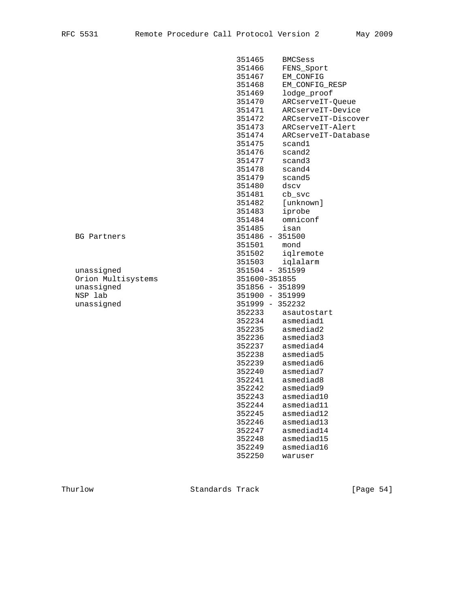|                    | 351465<br><b>BMCSess</b>      |  |
|--------------------|-------------------------------|--|
|                    | 351466<br>FENS_Sport          |  |
|                    | 351467<br>EM_CONFIG           |  |
|                    | 351468<br>EM_CONFIG_RESP      |  |
|                    | 351469<br>lodge_proof         |  |
|                    | 351470<br>ARCserveIT-Queue    |  |
|                    | 351471<br>ARCserveIT-Device   |  |
|                    | 351472<br>ARCserveIT-Discover |  |
|                    | 351473<br>ARCserveIT-Alert    |  |
|                    | 351474<br>ARCserveIT-Database |  |
|                    | 351475<br>scand1              |  |
|                    | 351476<br>scand2              |  |
|                    | 351477<br>scand3              |  |
|                    | 351478<br>scand4              |  |
|                    | 351479<br>scand5              |  |
|                    | 351480<br>dscv                |  |
|                    | 351481<br>cb_svc              |  |
|                    | 351482<br>[unknown]           |  |
|                    | 351483<br>iprobe              |  |
|                    | 351484<br>omniconf            |  |
|                    | 351485<br>isan                |  |
| BG Partners        | 351486 - 351500               |  |
|                    | 351501<br>mond                |  |
|                    | 351502<br>iqlremote           |  |
|                    | 351503<br>iqlalarm            |  |
| unassigned         | 351504 - 351599               |  |
| Orion Multisystems | 351600-351855                 |  |
| unassigned         | 351856 - 351899               |  |
| NSP lab            | 351900 - 351999               |  |
| unassigned         | 351999 - 352232               |  |
|                    | 352233<br>asautostart         |  |
|                    | 352234<br>asmediad1           |  |
|                    | 352235<br>asmediad2           |  |
|                    | 352236<br>asmediad3           |  |
|                    | asmediad4<br>352237           |  |
|                    | asmediad5<br>352238           |  |
|                    | 352239<br>asmediad6           |  |
|                    | 352240<br>asmediad7           |  |
|                    | 352241<br>asmediad8           |  |
|                    | 352242<br>asmediad9           |  |
|                    | 352243<br>asmediad10          |  |
|                    | 352244<br>asmediad11          |  |
|                    | 352245<br>asmediad12          |  |
|                    | 352246<br>asmediad13          |  |
|                    | 352247<br>asmediad14          |  |
|                    | 352248<br>asmediad15          |  |
|                    | 352249<br>asmediad16          |  |
|                    | 352250<br>waruser             |  |

Thurlow Standards Track [Page 54]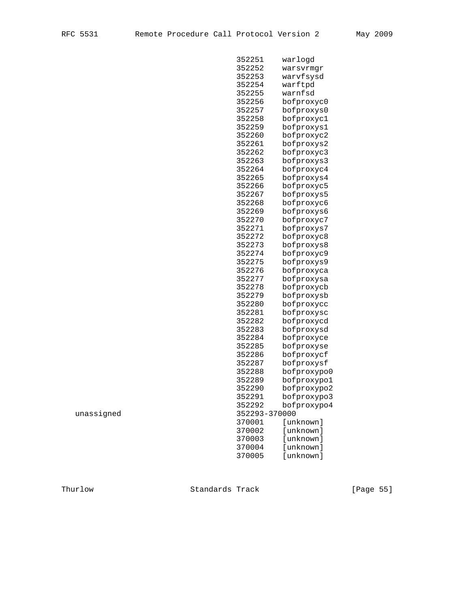|            | 352251        | warlogd     |
|------------|---------------|-------------|
|            | 352252        | warsvrmgr   |
|            | 352253        | warvfsysd   |
|            | 352254        | warftpd     |
|            | 352255        | warnfsd     |
|            | 352256        | bofproxyc0  |
|            | 352257        | bofproxys0  |
|            | 352258        | bofproxyc1  |
|            | 352259        | bofproxys1  |
|            | 352260        | bofproxyc2  |
|            | 352261        | bofproxys2  |
|            | 352262        | bofproxyc3  |
|            | 352263        | bofproxys3  |
|            | 352264        | bofproxyc4  |
|            | 352265        | bofproxys4  |
|            | 352266        | bofproxyc5  |
|            | 352267        | bofproxys5  |
|            | 352268        | bofproxyc6  |
|            | 352269        | bofproxys6  |
|            | 352270        | bofproxyc7  |
|            | 352271        | bofproxys7  |
|            | 352272        | bofproxyc8  |
|            | 352273        | bofproxys8  |
|            | 352274        | bofproxyc9  |
|            | 352275        | bofproxys9  |
|            | 352276        | bofproxyca  |
|            | 352277        | bofproxysa  |
|            | 352278        | bofproxycb  |
|            | 352279        | bofproxysb  |
|            | 352280        | bofproxycc  |
|            | 352281        | bofproxysc  |
|            | 352282        | bofproxycd  |
|            | 352283        | bofproxysd  |
|            | 352284        | bofproxyce  |
|            | 352285        | bofproxyse  |
|            | 352286        | bofproxycf  |
|            | 352287        | bofproxysf  |
|            | 352288        | bofproxypo0 |
|            | 352289        | bofproxypo1 |
|            | 352290        | bofproxypo2 |
|            | 352291        | bofproxypo3 |
|            | 352292        | bofproxypo4 |
| unassigned | 352293-370000 |             |
|            | 370001        | [unknown]   |
|            | 370002        | [unknown]   |
|            | 370003        | [unknown]   |
|            | 370004        | [unknown]   |
|            | 370005        | [unknown]   |
|            |               |             |

Thurlow Standards Track [Page 55]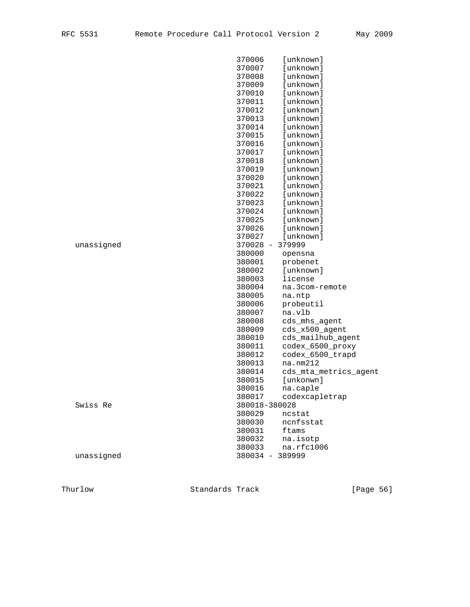|            | 370006          | [unknown]             |
|------------|-----------------|-----------------------|
|            | 370007          | [unknown]             |
|            | 370008          | [unknown]             |
|            | 370009          | [unknown]             |
|            | 370010          | [unknown]             |
|            | 370011          | [unknown]             |
|            | 370012          | [unknown]             |
|            | 370013          | [unknown]             |
|            | 370014          | [unknown]             |
|            | 370015          | [unknown]             |
|            | 370016          | [unknown]             |
|            | 370017          | [unknown]             |
|            | 370018          | [unknown]             |
|            | 370019          | [unknown]             |
|            | 370020          | [unknown]             |
|            | 370021          | [unknown]             |
|            | 370022          | [unknown]             |
|            | 370023          | [unknown]             |
|            | 370024          | [unknown]             |
|            | 370025          | [unknown]             |
|            | 370026          | [unknown]             |
|            | 370027          | [unknown]             |
| unassigned | 370028          | $-379999$             |
|            | 380000          | opensna               |
|            | 380001          | probenet              |
|            | 380002          | [unknown]             |
|            | 380003          | license               |
|            | 380004          | na.3com-remote        |
|            | 380005          | na.ntp                |
|            | 380006          | probeutil             |
|            | 380007          | na.vlb                |
|            | 380008          | cds_mhs_agent         |
|            | 380009          | cds_x500_agent        |
|            | 380010          | cds_mailhub_agent     |
|            | 380011          | codex_6500_proxy      |
|            | 380012          | codex_6500_trapd      |
|            | 380013          | na.mm212              |
|            | 380014          | cds_mta_metrics_agent |
|            | 380015          | [unkonwn]             |
|            | 380016          | na.caple              |
|            | 380017          | codexcapletrap        |
| Swiss Re   | 380018-380028   |                       |
|            | 380029          | ncstat                |
|            | 380030          | ncnfsstat             |
|            | 380031          | ftams                 |
|            | 380032          | na.isotp              |
|            | 380033          | na.rfc1006            |
| unassigned | 380034 - 389999 |                       |
|            |                 |                       |

Thurlow Standards Track [Page 56]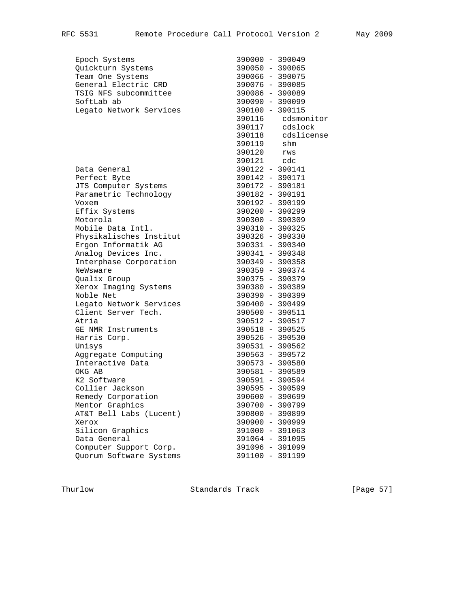| Epoch Systems           | 390000 - 390049               |                    |
|-------------------------|-------------------------------|--------------------|
| Quickturn Systems       | 390050 - 390065               |                    |
| Team One Systems        | 390066 - 390075               |                    |
| General Electric CRD    | 390076 - 390085               |                    |
| TSIG NFS subcommittee   | 390086 - 390089               |                    |
| SoftLab ab              | 390090 - 390099               |                    |
| Legato Network Services | 390100 - 390115               |                    |
|                         |                               | 390116 cdsmonitor  |
|                         |                               | $390117$ $cdslock$ |
|                         |                               | 390118 cdslicense  |
|                         | 390119 shm                    |                    |
|                         | 390120 rws                    |                    |
|                         |                               |                    |
| Data General            | 390121 cdc<br>390122 - 390141 |                    |
| Perfect Byte            | 390142 - 390171               |                    |
| JTS Computer Systems    | 390172 - 390181               |                    |
| Parametric Technology   | 390182 - 390191               |                    |
| Voxem                   | 390192 - 390199               |                    |
| Effix Systems           | 390200 - 390299               |                    |
| Motorola                | 390300 - 390309               |                    |
| Mobile Data Intl.       | 390310 - 390325               |                    |
| Physikalisches Institut | 390326 - 390330               |                    |
| Ergon Informatik AG     | 390331 - 390340               |                    |
| Analog Devices Inc.     | 390341 - 390348               |                    |
| Interphase Corporation  | 390349 - 390358               |                    |
| NeWsware                | 390359 - 390374               |                    |
| Qualix Group            | 390375 - 390379               |                    |
| Xerox Imaging Systems   | 390380 - 390389               |                    |
| Noble Net               | 390390 - 390399               |                    |
| Legato Network Services | 390400 - 390499               |                    |
| Client Server Tech.     | 390500 - 390511               |                    |
| Atria                   | 390512 - 390517               |                    |
| GE NMR Instruments      | 390518 - 390525               |                    |
| Harris Corp.            | 390526 - 390530               |                    |
| Unisys                  | 390531 - 390562               |                    |
| Aggregate Computing     | 390563 - 390572               |                    |
| Interactive Data        | 390573 - 390580               |                    |
| OKG AB                  | 390581 - 390589               |                    |
| K2 Software             | 390591 - 390594               |                    |
| Collier Jackson         | 390595 - 390599               |                    |
| Remedy Corporation      | 390600 - 390699               |                    |
| Mentor Graphics         | 390700 - 390799               |                    |
| AT&T Bell Labs (Lucent) | 390800 - 390899               |                    |
| Xerox                   | 390900 - 390999               |                    |
| Silicon Graphics        | 391000 - 391063               |                    |
| Data General            | 391064 - 391095               |                    |
| Computer Support Corp.  | 391096 - 391099               |                    |
| Quorum Software Systems | 391100 - 391199               |                    |
|                         |                               |                    |

Thurlow Standards Track [Page 57]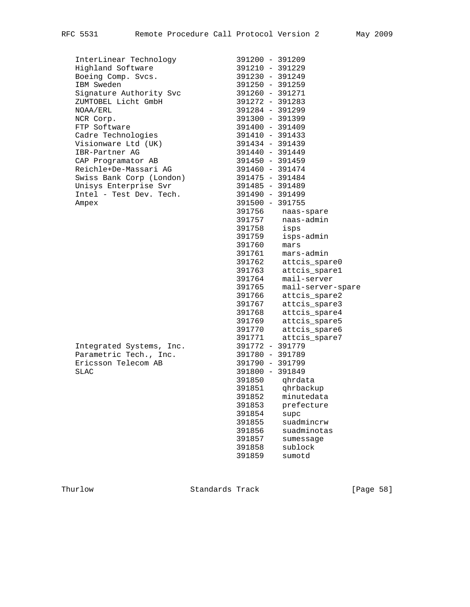InterLinear Technology 391200 - 391209

| InterLinear Technology   | 391200 - 391209 |  |
|--------------------------|-----------------|--|
| Highland Software        | 391210 - 391229 |  |
| Boeing Comp. Svcs.       | 391230 - 391249 |  |
| IBM Sweden               | 391250 - 391259 |  |
| Signature Authority Svc  | 391260 - 391271 |  |
| ZUMTOBEL Licht GmbH      | 391272 - 391283 |  |
| NOAA/ERL                 | 391284 - 391299 |  |
| NCR Corp.                | 391300 - 391399 |  |
| FTP Software             | 391400 - 391409 |  |
| Cadre Technologies       | 391410 - 391433 |  |
| Visionware Ltd (UK)      | 391434 - 391439 |  |
| IBR-Partner AG           | 391440 - 391449 |  |
| CAP Programator AB       | 391450 - 391459 |  |
| Reichle+De-Massari AG    | 391460 - 391474 |  |
| Swiss Bank Corp (London) | 391475 - 391484 |  |
| Unisys Enterprise Svr    | 391485 - 391489 |  |
| Intel - Test Dev. Tech.  | 391490 - 391499 |  |
| Ampex                    | 391500 - 391755 |  |
|                          |                 |  |

| Integrated Systems, Inc. | 391772 - 391779 |
|--------------------------|-----------------|
| Parametric Tech., Inc.   | 391780 - 391789 |
| Ericsson Telecom AB      | 391790 - 391799 |
| SLAC.                    | 391800 - 391849 |

| Highland Software        |        | 391210 - 391229   |
|--------------------------|--------|-------------------|
| Boeing Comp. Svcs.       |        | 391230 - 391249   |
| IBM Sweden               |        | 391250 - 391259   |
| Signature Authority Svc  |        | 391260 - 391271   |
| ZUMTOBEL Licht GmbH      |        | 391272 - 391283   |
| NOAA/ERL                 |        | 391284 - 391299   |
| NCR Corp.                |        | 391300 - 391399   |
| FTP Software             |        | 391400 - 391409   |
| Cadre Technologies       |        | 391410 - 391433   |
| Visionware Ltd (UK)      |        | 391434 - 391439   |
| IBR-Partner AG           |        | 391440 - 391449   |
| CAP Programator AB       |        | 391450 - 391459   |
| Reichle+De-Massari AG    |        | 391460 - 391474   |
| Swiss Bank Corp (London) |        | 391475 - 391484   |
| Unisys Enterprise Svr    |        | 391485 - 391489   |
| Intel - Test Dev. Tech.  |        | 391490 - 391499   |
| Ampex                    |        | 391500 - 391755   |
|                          | 391756 | naas-spare        |
|                          | 391757 | naas-admin        |
|                          | 391758 | isps              |
|                          | 391759 | isps-admin        |
|                          | 391760 | mars              |
|                          | 391761 | mars-admin        |
|                          | 391762 | attcis_spare0     |
|                          | 391763 | attcis_spare1     |
|                          | 391764 | mail-server       |
|                          | 391765 | mail-server-spare |
|                          | 391766 | attcis_spare2     |
|                          | 391767 | attcis_spare3     |
|                          | 391768 | attcis spare4     |
|                          | 391769 | attcis_spare5     |
|                          | 391770 | attcis_spare6     |
|                          | 391771 | attcis_spare7     |
| Integrated Systems, Inc. |        | 391772 - 391779   |
| Parametric Tech., Inc.   |        | 391780 - 391789   |
| Ericsson Telecom AB      |        | 391790 - 391799   |
| <b>SLAC</b>              |        | 391800 - 391849   |
|                          | 391850 | qhrdata           |
|                          | 391851 | qhrbackup         |
|                          | 391852 | minutedata        |
|                          | 391853 | prefecture        |
|                          | 391854 | supc              |
|                          | 391855 | suadmincrw        |
|                          | 391856 | suadminotas       |
|                          | 391857 | sumessage         |
|                          | 391858 | sublock           |
|                          | 391859 | sumotd            |
|                          |        |                   |

Thurlow Standards Track [Page 58]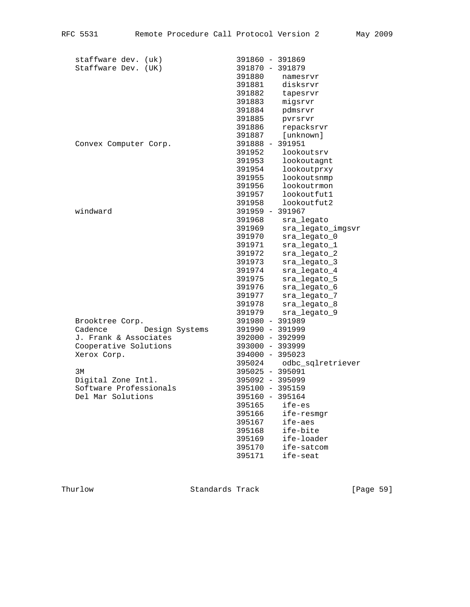| staffware dev. (uk)       | 391860 - 391869             |
|---------------------------|-----------------------------|
| Staffware Dev. (UK)       | 391870 - 391879             |
|                           | 391880<br>namesrvr          |
|                           | 391881<br>disksrvr          |
|                           | 391882<br>tapesrvr          |
|                           | 391883<br>migsrvr           |
|                           | 391884<br>pdmsrvr           |
|                           | 391885<br>pvrsrvr           |
|                           | repacksrvr<br>391886        |
|                           | [unknown]<br>391887         |
| Convex Computer Corp.     | 391888 - 391951             |
|                           | 391952<br>lookoutsrv        |
|                           | 391953<br>lookoutagnt       |
|                           | 391954<br>lookoutprxy       |
|                           | lookoutsnmp<br>391955       |
|                           | 391956<br>lookoutrmon       |
|                           | lookoutfut1<br>391957       |
|                           | 391958<br>lookoutfut2       |
| windward                  | 391959 - 391967             |
|                           | 391968<br>sra_legato        |
|                           | 391969<br>sra_legato_imgsvr |
|                           | sra_legato_0<br>391970      |
|                           | sra_legato_1<br>391971      |
|                           | sra_legato_2<br>391972      |
|                           | sra_legato_3<br>391973      |
|                           | 391974<br>sra_legato_4      |
|                           | sra_legato_5<br>391975      |
|                           | sra_legato_6<br>391976      |
|                           | sra_legato_7<br>391977      |
|                           | sra_legato_8<br>391978      |
|                           | 391979<br>sra_legato_9      |
| Brooktree Corp.           | 391980 - 391989             |
| Design Systems<br>Cadence | 391990 - 391999             |
| J. Frank & Associates     | 392000 - 392999             |
| Cooperative Solutions     | 393000 - 393999             |
| Xerox Corp.               | 394000 - 395023             |
|                           | 395024<br>odbc_sqlretriever |
| 3M                        | 395025 - 395091             |
| Digital Zone Intl.        | 395092 - 395099             |
| Software Professionals    | 395100 - 395159             |
| Del Mar Solutions         | 395160 - 395164             |
|                           | ife-es<br>395165            |
|                           | 395166<br>ife-resmgr        |
|                           | 395167<br>ife-aes           |
|                           | 395168<br>ife-bite          |
|                           | ife-loader<br>395169        |
|                           | 395170<br>ife-satcom        |
|                           | 395171<br>ife-seat          |
|                           |                             |

Thurlow Standards Track [Page 59]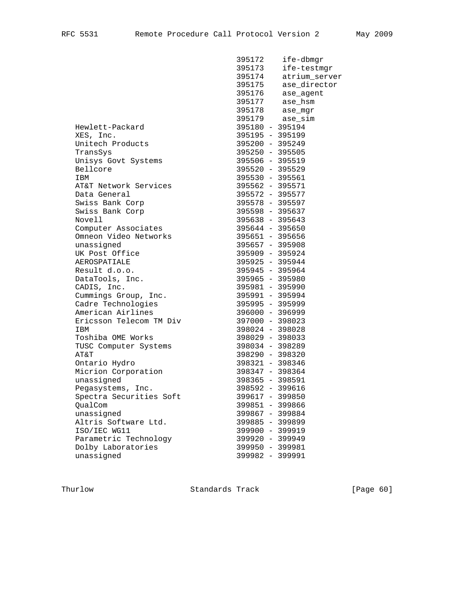395172 ife-dbmgr

|                         | 395173            | ife-testmgr                      |
|-------------------------|-------------------|----------------------------------|
|                         | 395174            | atrium server                    |
|                         | 395175            | ase_director                     |
|                         | 395176            | ase_agent                        |
|                         |                   |                                  |
|                         |                   | 395177 ase_hsm<br>395178 ase_mgr |
|                         |                   | 395179 ase_sim                   |
| Hewlett-Packard         | 395180 - 395194   |                                  |
| XES, Inc.               |                   | 395195 - 395199                  |
| Unitech Products        |                   | 395200 - 395249                  |
| TransSys                | $395250 - 395505$ |                                  |
| Unisys Govt Systems     | 395506 - 395519   |                                  |
| Bellcore                | 395520 - 395529   |                                  |
| IBM                     | 395530 - 395561   |                                  |
| AT&T Network Services   | 395562 - 395571   |                                  |
| Data General            | 395572 - 395577   |                                  |
| Swiss Bank Corp         | 395578 - 395597   |                                  |
| Swiss Bank Corp         | 395598 - 395637   |                                  |
| Novell                  | 395638 - 395643   |                                  |
| Computer Associates     | 395644 - 395650   |                                  |
| Omneon Video Networks   | 395651 - 395656   |                                  |
| unassigned              | 395657 - 395908   |                                  |
| UK Post Office          | 395909 - 395924   |                                  |
| AEROSPATIALE            | 395925 - 395944   |                                  |
| Result d.o.o.           | 395945 - 395964   |                                  |
| DataTools, Inc.         | 395965 - 395980   |                                  |
| CADIS, Inc.             | 395981 - 395990   |                                  |
| Cummings Group, Inc.    | 395991 - 395994   |                                  |
| Cadre Technologies      | 395995 - 395999   |                                  |
| American Airlines       | 396000 - 396999   |                                  |
| Ericsson Telecom TM Div | 397000 - 398023   |                                  |
| IBM                     | 398024 - 398028   |                                  |
| Toshiba OME Works       | 398029 - 398033   |                                  |
| TUSC Computer Systems   | 398034 - 398289   |                                  |
| AT&T                    | 398290 - 398320   |                                  |
| Ontario Hydro           | 398321 - 398346   |                                  |
| Micrion Corporation     | 398347 - 398364   |                                  |
| unassigned              | 398365 - 398591   |                                  |
| Pegasystems, Inc.       | 398592 - 399616   |                                  |
| Spectra Securities Soft | 399617 - 399850   |                                  |
| OualCom                 | 399851 - 399866   |                                  |
| unassigned              | 399867 - 399884   |                                  |
| Altris Software Ltd.    | 399885 - 399899   |                                  |
| ISO/IEC WG11            | 399900 - 399919   |                                  |
| Parametric Technology   | 399920 - 399949   |                                  |
| Dolby Laboratories      | 399950 - 399981   |                                  |
| unassigned              | 399982 - 399991   |                                  |

Thurlow Standards Track [Page 60]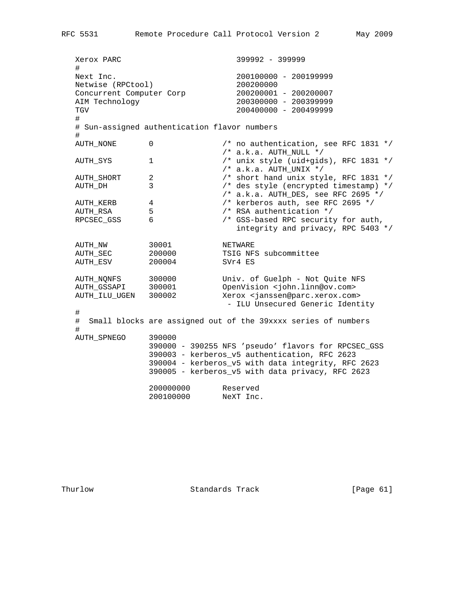Xerox PARC 399992 - 399999 # Next Inc. 200100000 - 200199999 Netwise (RPCtool) 200200000<br>
Concurrent Computer Corp 200200001 - 200200007 Concurrent Computer Corp AIM Technology 200300000 - 200399999 TGV 200400000 - 200499999 # # Sun-assigned authentication flavor numbers # AUTH\_NONE 0 0 /\* no authentication, see RFC 1831 \*/ /\* a.k.a. AUTH\_NULL \*/ AUTH\_SYS 1 /\* unix style (uid+gids), RFC 1831 \*/ /\* a.k.a. AUTH\_UNIX \*/ AUTH\_SHORT 2 /\* short hand unix style, RFC 1831 \*/ AUTH\_SHORT 2 <br>AUTH\_DH 3 /\* short hand unix style, RFC 1831 \*/<br>AUTH\_DH 3 /\* des style (encrypted timestamp) \*/<br>/\* a.k.a. AUTH\_DES, see RFC 2695 \*/ AUTH\_KERB 4<br>AUTH\_RERB 4<br>AUTH\_RSA 5<br>RPCSEC\_GSS 6<br>AUTH\_RSA 5<br>AUTH\_RSA 5<br>AUTH\_RSA 5<br>AUTH\_RSA 5<br>APCSEC\_GSS 6<br>APCSEC\_GSS 6<br>APCSEC\_GSS 6<br>APCSEC\_GSS 6<br>APCSEC\_GSS 6<br>APCSEC\_GSS 6<br>APCSEC\_GSS 6<br>APCSEC\_GSS 6 /\* kerberos auth, see RFC 2695 \*/ AUTHOLOGALIA SEE RESA 3 /\* RSA authentication \*/ /\* GSS-based RPC security for auth, integrity and privacy, RPC 5403 \*/ AUTH\_NW 30001 NETWARE AUTH\_SEC 200000 TSIG NFS subcommittee AUTH\_ESV 200004 SVr4 ES AUTH\_NQNFS 300000 Univ. of Guelph - Not Quite NFS AUTH\_GSSAPI 300001 OpenVision <john.linn@ov.com> AUTH\_ILU\_UGEN 300002 Xerox <janssen@parc.xerox.com> OpenVision <john.linn@ov.com><br>Xerox <janssen@parc.xerox.com><br>- ILU Unsecured Generic Identity # # Small blocks are assigned out of the 39xxxx series of numbers # AUTH\_SPNEGO 390000 390000 - 390255 NFS 'pseudo' flavors for RPCSEC\_GSS 390003 - kerberos\_v5 authentication, RFC 2623 390004 - kerberos\_v5 with data integrity, RFC 2623 390005 - kerberos\_v5 with data privacy, RFC 2623 200000000 Reserved 200100000 NeXT Inc.

Thurlow **Standards Track** [Page 61]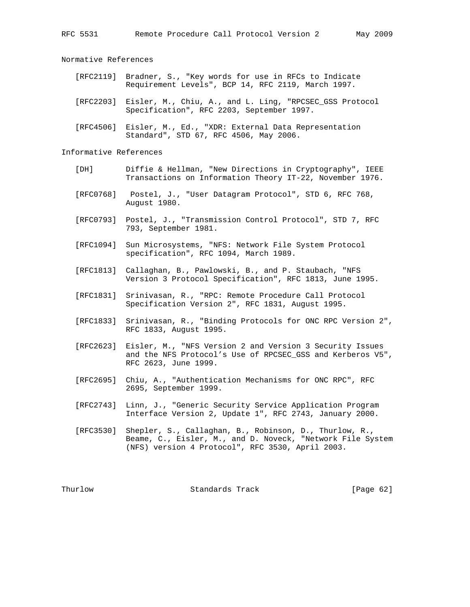Normative References

- [RFC2119] Bradner, S., "Key words for use in RFCs to Indicate Requirement Levels", BCP 14, RFC 2119, March 1997.
- [RFC2203] Eisler, M., Chiu, A., and L. Ling, "RPCSEC\_GSS Protocol Specification", RFC 2203, September 1997.
- [RFC4506] Eisler, M., Ed., "XDR: External Data Representation Standard", STD 67, RFC 4506, May 2006.

Informative References

- [DH] Diffie & Hellman, "New Directions in Cryptography", IEEE Transactions on Information Theory IT-22, November 1976.
- [RFC0768] Postel, J., "User Datagram Protocol", STD 6, RFC 768, August 1980.
- [RFC0793] Postel, J., "Transmission Control Protocol", STD 7, RFC 793, September 1981.
- [RFC1094] Sun Microsystems, "NFS: Network File System Protocol specification", RFC 1094, March 1989.
- [RFC1813] Callaghan, B., Pawlowski, B., and P. Staubach, "NFS Version 3 Protocol Specification", RFC 1813, June 1995.
- [RFC1831] Srinivasan, R., "RPC: Remote Procedure Call Protocol Specification Version 2", RFC 1831, August 1995.
- [RFC1833] Srinivasan, R., "Binding Protocols for ONC RPC Version 2", RFC 1833, August 1995.
- [RFC2623] Eisler, M., "NFS Version 2 and Version 3 Security Issues and the NFS Protocol's Use of RPCSEC\_GSS and Kerberos V5", RFC 2623, June 1999.
- [RFC2695] Chiu, A., "Authentication Mechanisms for ONC RPC", RFC 2695, September 1999.
- [RFC2743] Linn, J., "Generic Security Service Application Program Interface Version 2, Update 1", RFC 2743, January 2000.
- [RFC3530] Shepler, S., Callaghan, B., Robinson, D., Thurlow, R., Beame, C., Eisler, M., and D. Noveck, "Network File System (NFS) version 4 Protocol", RFC 3530, April 2003.

Thurlow Standards Track [Page 62]